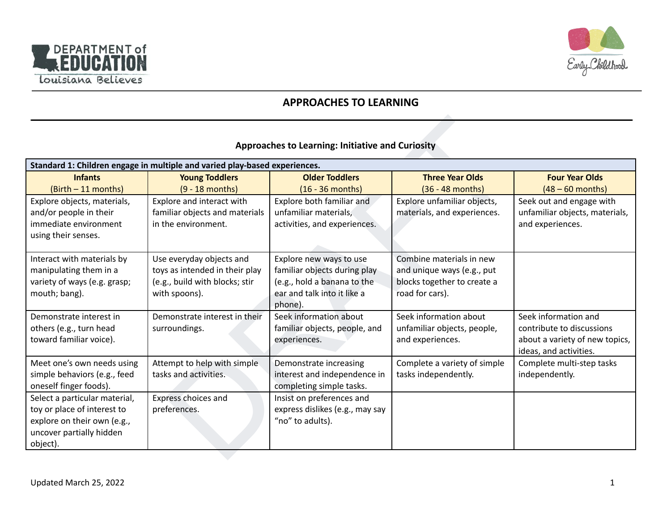



# **APPROACHES TO LEARNING**

## **Approaches to Learning: Initiative and Curiosity**

| <b>Approaches to Learning: Initiative and Curiosity</b>                                                                             |                                                                                                               |                                                                                                                                  |                                                                                                          |                                                                                                               |
|-------------------------------------------------------------------------------------------------------------------------------------|---------------------------------------------------------------------------------------------------------------|----------------------------------------------------------------------------------------------------------------------------------|----------------------------------------------------------------------------------------------------------|---------------------------------------------------------------------------------------------------------------|
|                                                                                                                                     | Standard 1: Children engage in multiple and varied play-based experiences.                                    |                                                                                                                                  |                                                                                                          |                                                                                                               |
| <b>Infants</b><br>$(l)$ (Birth $-11$ months)                                                                                        | <b>Young Toddlers</b><br>$(9 - 18$ months)                                                                    | <b>Older Toddlers</b><br>$(16 - 36$ months)                                                                                      | <b>Three Year Olds</b><br>$(36 - 48$ months)                                                             | <b>Four Year Olds</b><br>$(48 - 60$ months)                                                                   |
| Explore objects, materials,<br>and/or people in their<br>immediate environment<br>using their senses.                               | Explore and interact with<br>familiar objects and materials<br>in the environment.                            | Explore both familiar and<br>unfamiliar materials,<br>activities, and experiences.                                               | Explore unfamiliar objects,<br>materials, and experiences.                                               | Seek out and engage with<br>unfamiliar objects, materials,<br>and experiences.                                |
| Interact with materials by<br>manipulating them in a<br>variety of ways (e.g. grasp;<br>mouth; bang).                               | Use everyday objects and<br>toys as intended in their play<br>(e.g., build with blocks; stir<br>with spoons). | Explore new ways to use<br>familiar objects during play<br>(e.g., hold a banana to the<br>ear and talk into it like a<br>phone). | Combine materials in new<br>and unique ways (e.g., put<br>blocks together to create a<br>road for cars). |                                                                                                               |
| Demonstrate interest in<br>others (e.g., turn head<br>toward familiar voice).                                                       | Demonstrate interest in their<br>surroundings.                                                                | Seek information about<br>familiar objects, people, and<br>experiences.                                                          | Seek information about<br>unfamiliar objects, people,<br>and experiences.                                | Seek information and<br>contribute to discussions<br>about a variety of new topics,<br>ideas, and activities. |
| Meet one's own needs using<br>simple behaviors (e.g., feed<br>oneself finger foods).                                                | Attempt to help with simple<br>tasks and activities.                                                          | Demonstrate increasing<br>interest and independence in<br>completing simple tasks.                                               | Complete a variety of simple<br>tasks independently.                                                     | Complete multi-step tasks<br>independently.                                                                   |
| Select a particular material,<br>toy or place of interest to<br>explore on their own (e.g.,<br>uncover partially hidden<br>object). | Express choices and<br>preferences.                                                                           | Insist on preferences and<br>express dislikes (e.g., may say<br>"no" to adults).                                                 |                                                                                                          |                                                                                                               |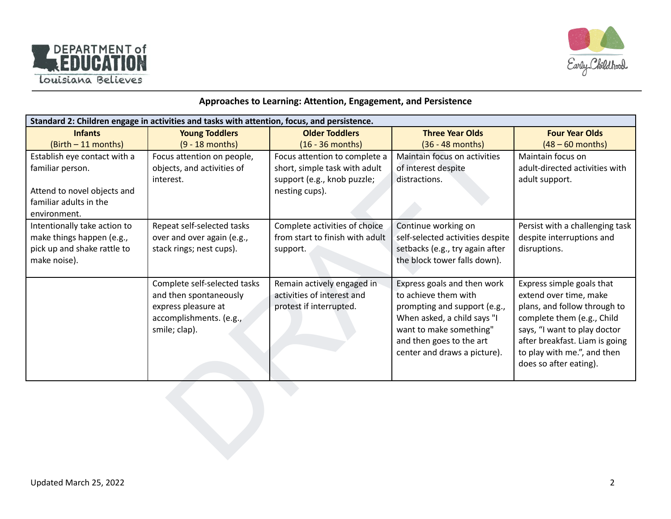



## **Approaches to Learning: Attention, Engagement, and Persistence**

| Standard 2: Children engage in activities and tasks with attention, focus, and persistence. |                                                        |                                                          |                                                     |                                                     |  |
|---------------------------------------------------------------------------------------------|--------------------------------------------------------|----------------------------------------------------------|-----------------------------------------------------|-----------------------------------------------------|--|
| <b>Infants</b>                                                                              | <b>Young Toddlers</b>                                  | <b>Older Toddlers</b>                                    | <b>Three Year Olds</b>                              | <b>Four Year Olds</b>                               |  |
| (Birth - 11 months)                                                                         | $(9 - 18$ months)                                      | $(16 - 36$ months)                                       | $(36 - 48$ months)                                  | $(48 - 60$ months)                                  |  |
| Establish eye contact with a                                                                | Focus attention on people,                             | Focus attention to complete a                            | Maintain focus on activities                        | Maintain focus on                                   |  |
| familiar person.                                                                            | objects, and activities of                             | short, simple task with adult                            | of interest despite                                 | adult-directed activities with                      |  |
|                                                                                             | interest.                                              | support (e.g., knob puzzle;                              | distractions.                                       | adult support.                                      |  |
| Attend to novel objects and                                                                 |                                                        | nesting cups).                                           |                                                     |                                                     |  |
| familiar adults in the                                                                      |                                                        |                                                          |                                                     |                                                     |  |
| environment.                                                                                |                                                        |                                                          |                                                     |                                                     |  |
| Intentionally take action to                                                                | Repeat self-selected tasks                             | Complete activities of choice                            | Continue working on                                 | Persist with a challenging task                     |  |
| make things happen (e.g.,                                                                   | over and over again (e.g.,                             | from start to finish with adult                          | self-selected activities despite                    | despite interruptions and                           |  |
| pick up and shake rattle to                                                                 | stack rings; nest cups).                               | support.                                                 | setbacks (e.g., try again after                     | disruptions.                                        |  |
| make noise).                                                                                |                                                        |                                                          | the block tower falls down).                        |                                                     |  |
|                                                                                             |                                                        |                                                          |                                                     |                                                     |  |
|                                                                                             | Complete self-selected tasks<br>and then spontaneously | Remain actively engaged in<br>activities of interest and | Express goals and then work<br>to achieve them with | Express simple goals that<br>extend over time, make |  |
|                                                                                             | express pleasure at                                    | protest if interrupted.                                  | prompting and support (e.g.,                        | plans, and follow through to                        |  |
|                                                                                             | accomplishments. (e.g.,                                |                                                          | When asked, a child says "I                         | complete them (e.g., Child                          |  |
|                                                                                             | smile; clap).                                          |                                                          | want to make something"                             | says, "I want to play doctor                        |  |
|                                                                                             |                                                        |                                                          | and then goes to the art                            | after breakfast. Liam is going                      |  |
|                                                                                             |                                                        |                                                          | center and draws a picture).                        | to play with me.", and then                         |  |
|                                                                                             |                                                        |                                                          |                                                     | does so after eating).                              |  |
|                                                                                             |                                                        |                                                          |                                                     |                                                     |  |
|                                                                                             |                                                        |                                                          |                                                     |                                                     |  |
|                                                                                             |                                                        |                                                          |                                                     |                                                     |  |
|                                                                                             |                                                        |                                                          |                                                     |                                                     |  |
|                                                                                             |                                                        |                                                          |                                                     |                                                     |  |
|                                                                                             |                                                        |                                                          |                                                     |                                                     |  |
|                                                                                             |                                                        |                                                          |                                                     |                                                     |  |
|                                                                                             |                                                        |                                                          |                                                     |                                                     |  |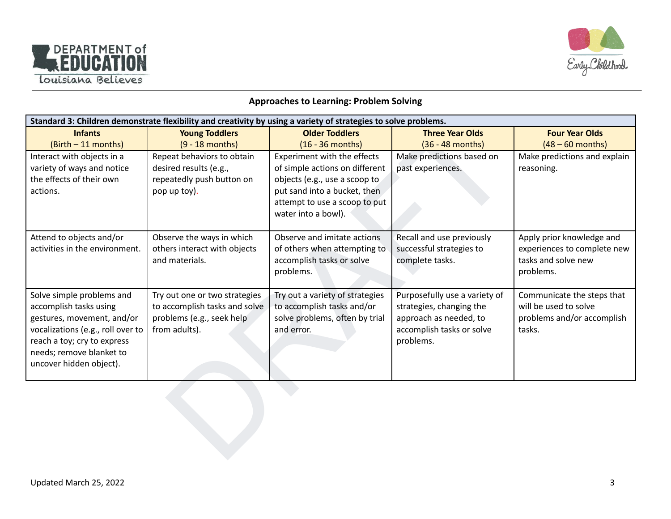



#### **Approaches to Learning: Problem Solving**

|                                                      | Standard 3: Children demonstrate flexibility and creativity by using a variety of strategies to solve problems. |                                                               |                                                    |                                                     |  |  |
|------------------------------------------------------|-----------------------------------------------------------------------------------------------------------------|---------------------------------------------------------------|----------------------------------------------------|-----------------------------------------------------|--|--|
| <b>Infants</b>                                       | <b>Young Toddlers</b>                                                                                           | <b>Older Toddlers</b>                                         | <b>Three Year Olds</b>                             | <b>Four Year Olds</b>                               |  |  |
| (Birth - 11 months)                                  | $(9 - 18$ months)                                                                                               | $(16 - 36$ months)                                            | (36 - 48 months)                                   | $(48 - 60$ months)                                  |  |  |
| Interact with objects in a                           | Repeat behaviors to obtain                                                                                      | Experiment with the effects                                   | Make predictions based on                          | Make predictions and explain                        |  |  |
| variety of ways and notice                           | desired results (e.g.,                                                                                          | of simple actions on different                                | past experiences.                                  | reasoning.                                          |  |  |
| the effects of their own                             | repeatedly push button on                                                                                       | objects (e.g., use a scoop to                                 |                                                    |                                                     |  |  |
| actions.                                             | pop up toy).                                                                                                    | put sand into a bucket, then                                  |                                                    |                                                     |  |  |
|                                                      |                                                                                                                 | attempt to use a scoop to put                                 |                                                    |                                                     |  |  |
|                                                      |                                                                                                                 | water into a bowl).                                           |                                                    |                                                     |  |  |
|                                                      |                                                                                                                 |                                                               |                                                    |                                                     |  |  |
| Attend to objects and/or                             | Observe the ways in which                                                                                       | Observe and imitate actions                                   | Recall and use previously                          | Apply prior knowledge and                           |  |  |
| activities in the environment.                       | others interact with objects                                                                                    | of others when attempting to                                  | successful strategies to                           | experiences to complete new                         |  |  |
|                                                      | and materials.                                                                                                  | accomplish tasks or solve                                     | complete tasks.                                    | tasks and solve new                                 |  |  |
|                                                      |                                                                                                                 | problems.                                                     |                                                    | problems.                                           |  |  |
|                                                      |                                                                                                                 |                                                               |                                                    |                                                     |  |  |
| Solve simple problems and                            | Try out one or two strategies<br>to accomplish tasks and solve                                                  | Try out a variety of strategies<br>to accomplish tasks and/or | Purposefully use a variety of                      | Communicate the steps that<br>will be used to solve |  |  |
| accomplish tasks using<br>gestures, movement, and/or | problems (e.g., seek help                                                                                       | solve problems, often by trial                                | strategies, changing the<br>approach as needed, to | problems and/or accomplish                          |  |  |
| vocalizations (e.g., roll over to                    | from adults).                                                                                                   | and error.                                                    | accomplish tasks or solve                          | tasks.                                              |  |  |
| reach a toy; cry to express                          |                                                                                                                 |                                                               | problems.                                          |                                                     |  |  |
| needs; remove blanket to                             |                                                                                                                 |                                                               |                                                    |                                                     |  |  |
| uncover hidden object).                              |                                                                                                                 |                                                               |                                                    |                                                     |  |  |
|                                                      |                                                                                                                 |                                                               |                                                    |                                                     |  |  |
|                                                      |                                                                                                                 |                                                               |                                                    |                                                     |  |  |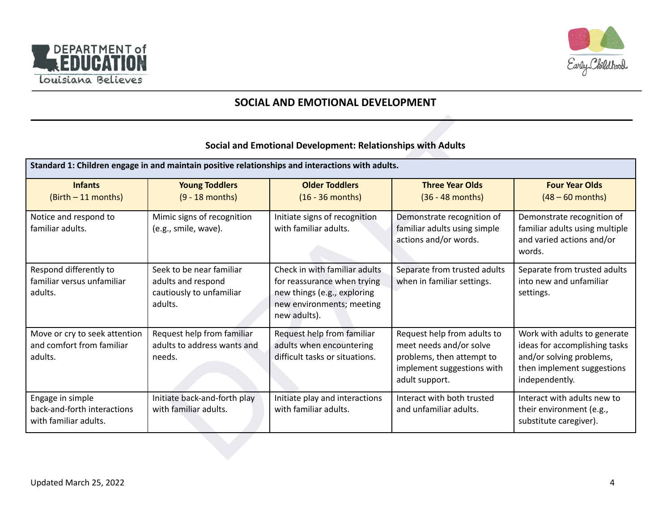



# **SOCIAL AND EMOTIONAL DEVELOPMENT**

#### **Social and Emotional Development: Relationships with Adults**

|                                                                          |                                                                                       | Standard 1: Children engage in and maintain positive relationships and interactions with adults.                                         |                                                                                                                                     |                                                                                                                                           |
|--------------------------------------------------------------------------|---------------------------------------------------------------------------------------|------------------------------------------------------------------------------------------------------------------------------------------|-------------------------------------------------------------------------------------------------------------------------------------|-------------------------------------------------------------------------------------------------------------------------------------------|
| <b>Infants</b><br>$(Birth - 11 months)$                                  | <b>Young Toddlers</b><br>$(9 - 18$ months)                                            | <b>Older Toddlers</b><br>$(16 - 36$ months)                                                                                              | <b>Three Year Olds</b><br>$(36 - 48$ months)                                                                                        | <b>Four Year Olds</b><br>$(48 - 60$ months)                                                                                               |
| Notice and respond to<br>familiar adults.                                | Mimic signs of recognition<br>(e.g., smile, wave).                                    | Initiate signs of recognition<br>with familiar adults.                                                                                   | Demonstrate recognition of<br>familiar adults using simple<br>actions and/or words.                                                 | Demonstrate recognition of<br>familiar adults using multiple<br>and varied actions and/or<br>words.                                       |
| Respond differently to<br>familiar versus unfamiliar<br>adults.          | Seek to be near familiar<br>adults and respond<br>cautiously to unfamiliar<br>adults. | Check in with familiar adults<br>for reassurance when trying<br>new things (e.g., exploring<br>new environments; meeting<br>new adults). | Separate from trusted adults<br>when in familiar settings.                                                                          | Separate from trusted adults<br>into new and unfamiliar<br>settings.                                                                      |
| Move or cry to seek attention<br>and comfort from familiar<br>adults.    | Request help from familiar<br>adults to address wants and<br>needs.                   | Request help from familiar<br>adults when encountering<br>difficult tasks or situations.                                                 | Request help from adults to<br>meet needs and/or solve<br>problems, then attempt to<br>implement suggestions with<br>adult support. | Work with adults to generate<br>ideas for accomplishing tasks<br>and/or solving problems,<br>then implement suggestions<br>independently. |
| Engage in simple<br>back-and-forth interactions<br>with familiar adults. | Initiate back-and-forth play<br>with familiar adults.                                 | Initiate play and interactions<br>with familiar adults.                                                                                  | Interact with both trusted<br>and unfamiliar adults.                                                                                | Interact with adults new to<br>their environment (e.g.,<br>substitute caregiver).                                                         |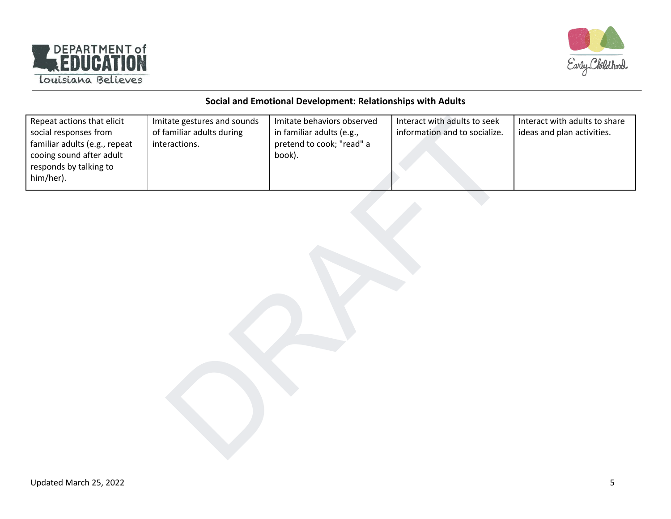



#### **Social and Emotional Development: Relationships with Adults**

| Repeat actions that elicit<br>social responses from<br>familiar adults (e.g., repeat<br>cooing sound after adult<br>responds by talking to<br>him/her). | Imitate gestures and sounds<br>of familiar adults during<br>interactions. | Imitate behaviors observed<br>in familiar adults (e.g.,<br>pretend to cook; "read" a<br>book). | Interact with adults to seek<br>information and to socialize. | Interact with adults to share<br>ideas and plan activities. |
|---------------------------------------------------------------------------------------------------------------------------------------------------------|---------------------------------------------------------------------------|------------------------------------------------------------------------------------------------|---------------------------------------------------------------|-------------------------------------------------------------|
|                                                                                                                                                         |                                                                           |                                                                                                |                                                               |                                                             |
|                                                                                                                                                         |                                                                           |                                                                                                |                                                               |                                                             |
|                                                                                                                                                         |                                                                           |                                                                                                |                                                               |                                                             |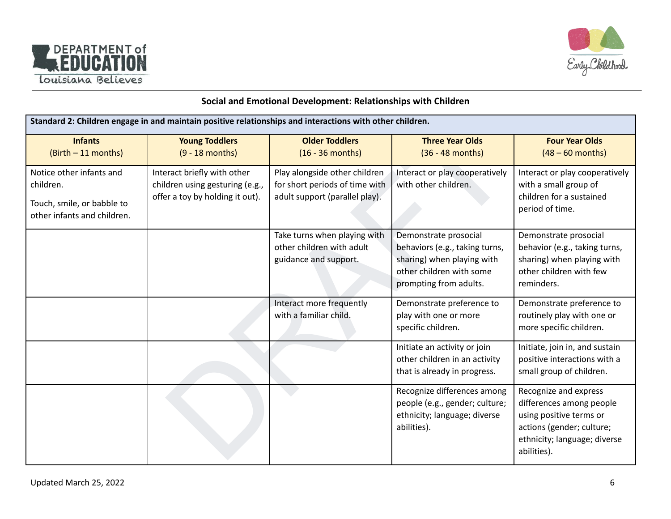



## **Social and Emotional Development: Relationships with Children**

| Standard 2: Children engage in and maintain positive relationships and interactions with other children. |                                                                                                   |                                                                                                   |                                                                                                                                             |                                                                                                                                                          |  |
|----------------------------------------------------------------------------------------------------------|---------------------------------------------------------------------------------------------------|---------------------------------------------------------------------------------------------------|---------------------------------------------------------------------------------------------------------------------------------------------|----------------------------------------------------------------------------------------------------------------------------------------------------------|--|
| <b>Infants</b><br>$(l)$ (Birth $-11$ months)                                                             | <b>Young Toddlers</b><br>$(9 - 18$ months)                                                        | <b>Older Toddlers</b><br>$(16 - 36$ months)                                                       | <b>Three Year Olds</b><br>$(36 - 48$ months)                                                                                                | <b>Four Year Olds</b><br>$(48 - 60$ months)                                                                                                              |  |
| Notice other infants and<br>children.<br>Touch, smile, or babble to<br>other infants and children.       | Interact briefly with other<br>children using gesturing (e.g.,<br>offer a toy by holding it out). | Play alongside other children<br>for short periods of time with<br>adult support (parallel play). | Interact or play cooperatively<br>with other children.                                                                                      | Interact or play cooperatively<br>with a small group of<br>children for a sustained<br>period of time.                                                   |  |
|                                                                                                          |                                                                                                   | Take turns when playing with<br>other children with adult<br>guidance and support.                | Demonstrate prosocial<br>behaviors (e.g., taking turns,<br>sharing) when playing with<br>other children with some<br>prompting from adults. | Demonstrate prosocial<br>behavior (e.g., taking turns,<br>sharing) when playing with<br>other children with few<br>reminders.                            |  |
|                                                                                                          |                                                                                                   | Interact more frequently<br>with a familiar child.                                                | Demonstrate preference to<br>play with one or more<br>specific children.                                                                    | Demonstrate preference to<br>routinely play with one or<br>more specific children.                                                                       |  |
|                                                                                                          |                                                                                                   |                                                                                                   | Initiate an activity or join<br>other children in an activity<br>that is already in progress.                                               | Initiate, join in, and sustain<br>positive interactions with a<br>small group of children.                                                               |  |
|                                                                                                          |                                                                                                   |                                                                                                   | Recognize differences among<br>people (e.g., gender; culture;<br>ethnicity; language; diverse<br>abilities).                                | Recognize and express<br>differences among people<br>using positive terms or<br>actions (gender; culture;<br>ethnicity; language; diverse<br>abilities). |  |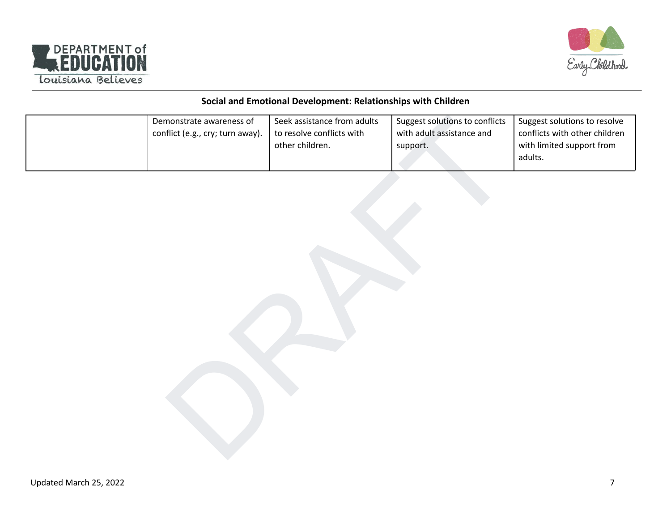



## **Social and Emotional Development: Relationships with Children**

| Demonstrate awareness of<br>conflict (e.g., cry; turn away). | Seek assistance from adults<br>to resolve conflicts with<br>other children. | Suggest solutions to conflicts<br>with adult assistance and<br>support. | Suggest solutions to resolve<br>conflicts with other children<br>with limited support from<br>adults. |
|--------------------------------------------------------------|-----------------------------------------------------------------------------|-------------------------------------------------------------------------|-------------------------------------------------------------------------------------------------------|
|                                                              |                                                                             |                                                                         |                                                                                                       |
|                                                              |                                                                             |                                                                         |                                                                                                       |
|                                                              |                                                                             |                                                                         |                                                                                                       |
|                                                              |                                                                             |                                                                         |                                                                                                       |
|                                                              |                                                                             |                                                                         |                                                                                                       |
|                                                              |                                                                             |                                                                         |                                                                                                       |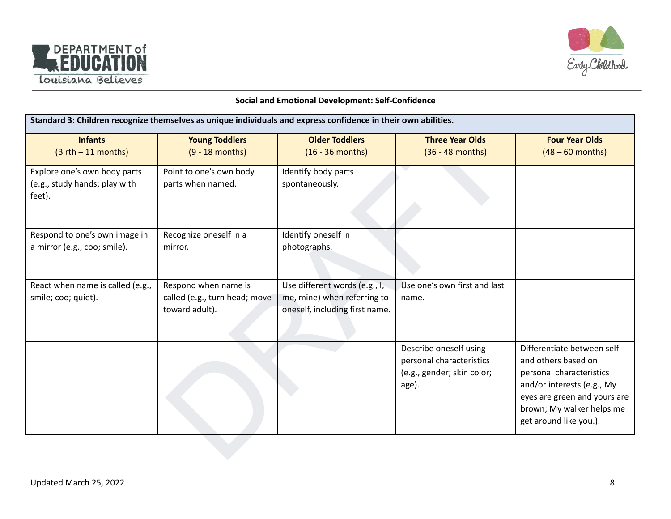



#### **Social and Emotional Development: Self-Confidence**

| Standard 3: Children recognize themselves as unique individuals and express confidence in their own abilities. |                                                                         |                                                                                                |                                                                                           |                                                                                                                                                                                                    |  |
|----------------------------------------------------------------------------------------------------------------|-------------------------------------------------------------------------|------------------------------------------------------------------------------------------------|-------------------------------------------------------------------------------------------|----------------------------------------------------------------------------------------------------------------------------------------------------------------------------------------------------|--|
| <b>Infants</b><br>(Birth - 11 months)                                                                          | <b>Young Toddlers</b><br>$(9 - 18$ months)                              | <b>Older Toddlers</b><br>$(16 - 36$ months)                                                    | <b>Three Year Olds</b><br>$(36 - 48$ months)                                              | <b>Four Year Olds</b><br>$(48 - 60$ months)                                                                                                                                                        |  |
| Explore one's own body parts<br>(e.g., study hands; play with<br>feet).                                        | Point to one's own body<br>parts when named.                            | Identify body parts<br>spontaneously.                                                          |                                                                                           |                                                                                                                                                                                                    |  |
| Respond to one's own image in<br>a mirror (e.g., coo; smile).                                                  | Recognize oneself in a<br>mirror.                                       | Identify oneself in<br>photographs.                                                            |                                                                                           |                                                                                                                                                                                                    |  |
| React when name is called (e.g.,<br>smile; coo; quiet).                                                        | Respond when name is<br>called (e.g., turn head; move<br>toward adult). | Use different words (e.g., I,<br>me, mine) when referring to<br>oneself, including first name. | Use one's own first and last<br>name.                                                     |                                                                                                                                                                                                    |  |
|                                                                                                                |                                                                         |                                                                                                | Describe oneself using<br>personal characteristics<br>(e.g., gender; skin color;<br>age). | Differentiate between self<br>and others based on<br>personal characteristics<br>and/or interests (e.g., My<br>eyes are green and yours are<br>brown; My walker helps me<br>get around like you.). |  |
|                                                                                                                |                                                                         |                                                                                                |                                                                                           |                                                                                                                                                                                                    |  |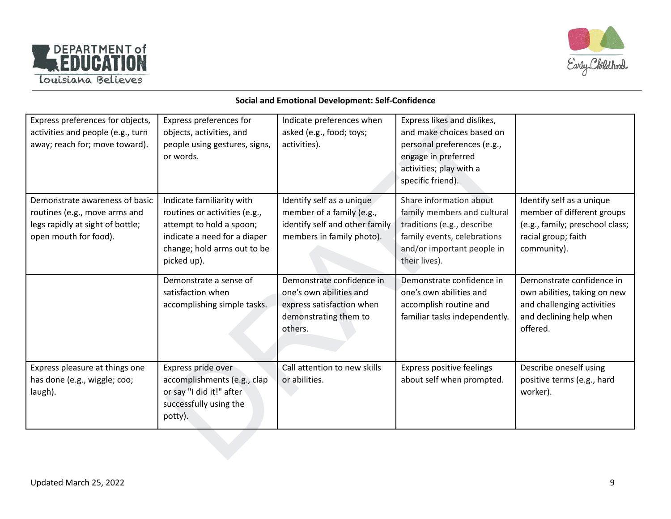



#### **Social and Emotional Development: Self-Confidence**

| Express preferences for objects,<br>activities and people (e.g., turn<br>away; reach for; move toward).                      | Express preferences for<br>objects, activities, and<br>people using gestures, signs,<br>or words.                                                                    | Indicate preferences when<br>asked (e.g., food; toys;<br>activities).                                                 | Express likes and dislikes,<br>and make choices based on<br>personal preferences (e.g.,<br>engage in preferred<br>activities; play with a<br>specific friend).     |                                                                                                                                  |
|------------------------------------------------------------------------------------------------------------------------------|----------------------------------------------------------------------------------------------------------------------------------------------------------------------|-----------------------------------------------------------------------------------------------------------------------|--------------------------------------------------------------------------------------------------------------------------------------------------------------------|----------------------------------------------------------------------------------------------------------------------------------|
| Demonstrate awareness of basic<br>routines (e.g., move arms and<br>legs rapidly at sight of bottle;<br>open mouth for food). | Indicate familiarity with<br>routines or activities (e.g.,<br>attempt to hold a spoon;<br>indicate a need for a diaper<br>change; hold arms out to be<br>picked up). | Identify self as a unique<br>member of a family (e.g.,<br>identify self and other family<br>members in family photo). | Share information about<br>family members and cultural<br>traditions (e.g., describe<br>family events, celebrations<br>and/or important people in<br>their lives). | Identify self as a unique<br>member of different groups<br>(e.g., family; preschool class;<br>racial group; faith<br>community). |
|                                                                                                                              | Demonstrate a sense of<br>satisfaction when<br>accomplishing simple tasks.                                                                                           | Demonstrate confidence in<br>one's own abilities and<br>express satisfaction when<br>demonstrating them to<br>others. | Demonstrate confidence in<br>one's own abilities and<br>accomplish routine and<br>familiar tasks independently.                                                    | Demonstrate confidence in<br>own abilities, taking on new<br>and challenging activities<br>and declining help when<br>offered.   |
| Express pleasure at things one<br>has done (e.g., wiggle; coo;<br>laugh).                                                    | Express pride over<br>accomplishments (e.g., clap<br>or say "I did it!" after<br>successfully using the<br>potty).                                                   | Call attention to new skills<br>or abilities.                                                                         | Express positive feelings<br>about self when prompted.                                                                                                             | Describe oneself using<br>positive terms (e.g., hard<br>worker).                                                                 |
|                                                                                                                              |                                                                                                                                                                      |                                                                                                                       |                                                                                                                                                                    |                                                                                                                                  |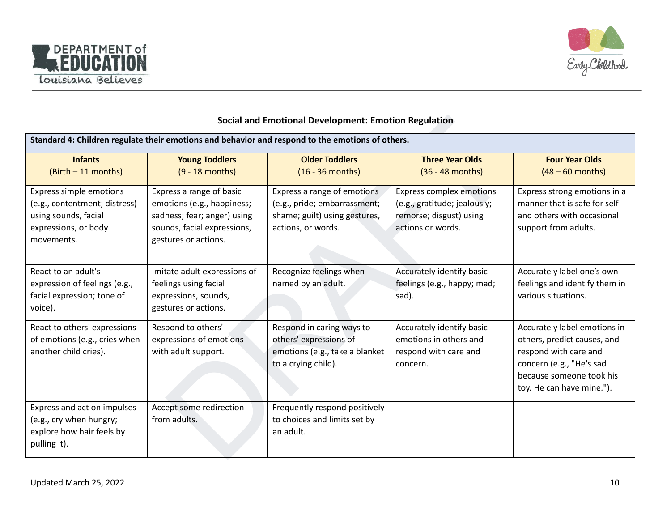



## **Social and Emotional Development: Emotion Regulation**

| <b>Social and Emotional Development: Emotion Regulation</b>                                                            |                                                                                                                                              |                                                                                                                    |                                                                                                                 |                                                                                                                                                                           |
|------------------------------------------------------------------------------------------------------------------------|----------------------------------------------------------------------------------------------------------------------------------------------|--------------------------------------------------------------------------------------------------------------------|-----------------------------------------------------------------------------------------------------------------|---------------------------------------------------------------------------------------------------------------------------------------------------------------------------|
|                                                                                                                        |                                                                                                                                              | Standard 4: Children regulate their emotions and behavior and respond to the emotions of others.                   |                                                                                                                 |                                                                                                                                                                           |
| <b>Infants</b><br>(Birth - 11 months)                                                                                  | <b>Young Toddlers</b><br>$(9 - 18$ months)                                                                                                   | <b>Older Toddlers</b><br>$(16 - 36$ months)                                                                        | <b>Three Year Olds</b><br>$(36 - 48$ months)                                                                    | <b>Four Year Olds</b><br>$(48 - 60$ months)                                                                                                                               |
| Express simple emotions<br>(e.g., contentment; distress)<br>using sounds, facial<br>expressions, or body<br>movements. | Express a range of basic<br>emotions (e.g., happiness;<br>sadness; fear; anger) using<br>sounds, facial expressions,<br>gestures or actions. | Express a range of emotions<br>(e.g., pride; embarrassment;<br>shame; guilt) using gestures,<br>actions, or words. | <b>Express complex emotions</b><br>(e.g., gratitude; jealously;<br>remorse; disgust) using<br>actions or words. | Express strong emotions in a<br>manner that is safe for self<br>and others with occasional<br>support from adults.                                                        |
| React to an adult's<br>expression of feelings (e.g.,<br>facial expression; tone of<br>voice).                          | Imitate adult expressions of<br>feelings using facial<br>expressions, sounds,<br>gestures or actions.                                        | Recognize feelings when<br>named by an adult.                                                                      | Accurately identify basic<br>feelings (e.g., happy; mad;<br>sad).                                               | Accurately label one's own<br>feelings and identify them in<br>various situations.                                                                                        |
| React to others' expressions<br>of emotions (e.g., cries when<br>another child cries).                                 | Respond to others'<br>expressions of emotions<br>with adult support.                                                                         | Respond in caring ways to<br>others' expressions of<br>emotions (e.g., take a blanket<br>to a crying child).       | Accurately identify basic<br>emotions in others and<br>respond with care and<br>concern.                        | Accurately label emotions in<br>others, predict causes, and<br>respond with care and<br>concern (e.g., "He's sad<br>because someone took his<br>toy. He can have mine."). |
| Express and act on impulses<br>(e.g., cry when hungry;<br>explore how hair feels by<br>pulling it).                    | Accept some redirection<br>from adults.                                                                                                      | Frequently respond positively<br>to choices and limits set by<br>an adult.                                         |                                                                                                                 |                                                                                                                                                                           |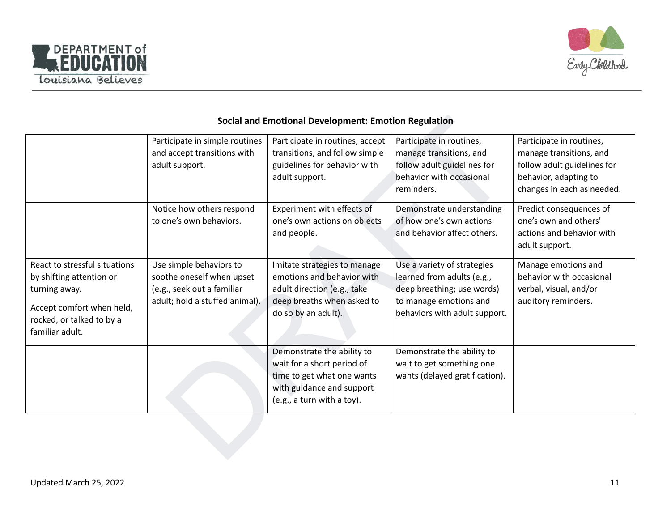



## **Social and Emotional Development: Emotion Regulation**

| <b>Social and Emotional Development: Emotion Regulation</b>                                                                                             |                                                                                                                      |                                                                                                                                                   |                                                                                                                                                    |                                                                                                                                           |
|---------------------------------------------------------------------------------------------------------------------------------------------------------|----------------------------------------------------------------------------------------------------------------------|---------------------------------------------------------------------------------------------------------------------------------------------------|----------------------------------------------------------------------------------------------------------------------------------------------------|-------------------------------------------------------------------------------------------------------------------------------------------|
|                                                                                                                                                         | Participate in simple routines<br>and accept transitions with<br>adult support.                                      | Participate in routines, accept<br>transitions, and follow simple<br>guidelines for behavior with<br>adult support.                               | Participate in routines,<br>manage transitions, and<br>follow adult guidelines for<br>behavior with occasional<br>reminders.                       | Participate in routines,<br>manage transitions, and<br>follow adult guidelines for<br>behavior, adapting to<br>changes in each as needed. |
|                                                                                                                                                         | Notice how others respond<br>to one's own behaviors.                                                                 | Experiment with effects of<br>one's own actions on objects<br>and people.                                                                         | Demonstrate understanding<br>of how one's own actions<br>and behavior affect others.                                                               | Predict consequences of<br>one's own and others'<br>actions and behavior with<br>adult support.                                           |
| React to stressful situations<br>by shifting attention or<br>turning away.<br>Accept comfort when held,<br>rocked, or talked to by a<br>familiar adult. | Use simple behaviors to<br>soothe oneself when upset<br>(e.g., seek out a familiar<br>adult; hold a stuffed animal). | Imitate strategies to manage<br>emotions and behavior with<br>adult direction (e.g., take<br>deep breaths when asked to<br>do so by an adult).    | Use a variety of strategies<br>learned from adults (e.g.,<br>deep breathing; use words)<br>to manage emotions and<br>behaviors with adult support. | Manage emotions and<br>behavior with occasional<br>verbal, visual, and/or<br>auditory reminders.                                          |
|                                                                                                                                                         |                                                                                                                      | Demonstrate the ability to<br>wait for a short period of<br>time to get what one wants<br>with guidance and support<br>(e.g., a turn with a toy). | Demonstrate the ability to<br>wait to get something one<br>wants (delayed gratification).                                                          |                                                                                                                                           |
|                                                                                                                                                         |                                                                                                                      |                                                                                                                                                   |                                                                                                                                                    |                                                                                                                                           |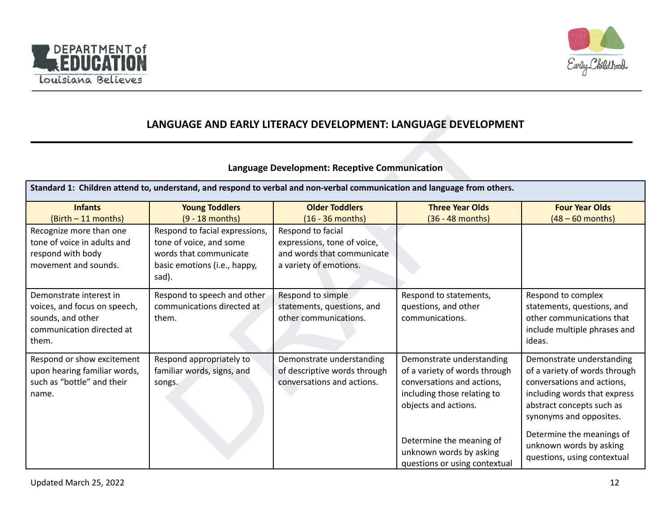



# **LANGUAGE AND EARLY LITERACY DEVELOPMENT: LANGUAGE DEVELOPMENT**

## **Language Development: Receptive Communication**

| LANGUAGE AND EARLY LITERACY DEVELOPMENT: LANGUAGE DEVELOPMENT                                                                                                                    |                                                                                                                              |                                                                                                          |                                                                                                                                                 |                                                                                                                                                                                                               |
|----------------------------------------------------------------------------------------------------------------------------------------------------------------------------------|------------------------------------------------------------------------------------------------------------------------------|----------------------------------------------------------------------------------------------------------|-------------------------------------------------------------------------------------------------------------------------------------------------|---------------------------------------------------------------------------------------------------------------------------------------------------------------------------------------------------------------|
| <b>Language Development: Receptive Communication</b><br>Standard 1: Children attend to, understand, and respond to verbal and non-verbal communication and language from others. |                                                                                                                              |                                                                                                          |                                                                                                                                                 |                                                                                                                                                                                                               |
| <b>Infants</b><br>(Birth - 11 months)                                                                                                                                            | <b>Young Toddlers</b><br>$(9 - 18$ months)                                                                                   | <b>Older Toddlers</b><br>$(16 - 36$ months)                                                              | <b>Three Year Olds</b><br>$(36 - 48$ months)                                                                                                    | <b>Four Year Olds</b><br>$(48 - 60$ months)                                                                                                                                                                   |
| Recognize more than one<br>tone of voice in adults and<br>respond with body<br>movement and sounds.                                                                              | Respond to facial expressions,<br>tone of voice, and some<br>words that communicate<br>basic emotions (i.e., happy,<br>sad). | Respond to facial<br>expressions, tone of voice,<br>and words that communicate<br>a variety of emotions. |                                                                                                                                                 |                                                                                                                                                                                                               |
| Demonstrate interest in<br>voices, and focus on speech,<br>sounds, and other<br>communication directed at<br>them.                                                               | Respond to speech and other<br>communications directed at<br>them.                                                           | Respond to simple<br>statements, questions, and<br>other communications.                                 | Respond to statements,<br>questions, and other<br>communications.                                                                               | Respond to complex<br>statements, questions, and<br>other communications that<br>include multiple phrases and<br>ideas.                                                                                       |
| Respond or show excitement<br>upon hearing familiar words,<br>such as "bottle" and their<br>name.                                                                                | Respond appropriately to<br>familiar words, signs, and<br>songs.                                                             | Demonstrate understanding<br>of descriptive words through<br>conversations and actions.                  | Demonstrate understanding<br>of a variety of words through<br>conversations and actions,<br>including those relating to<br>objects and actions. | Demonstrate understanding<br>of a variety of words through<br>conversations and actions,<br>including words that express<br>abstract concepts such as<br>synonyms and opposites.<br>Determine the meanings of |
|                                                                                                                                                                                  |                                                                                                                              |                                                                                                          | Determine the meaning of<br>unknown words by asking<br>questions or using contextual                                                            | unknown words by asking<br>questions, using contextual                                                                                                                                                        |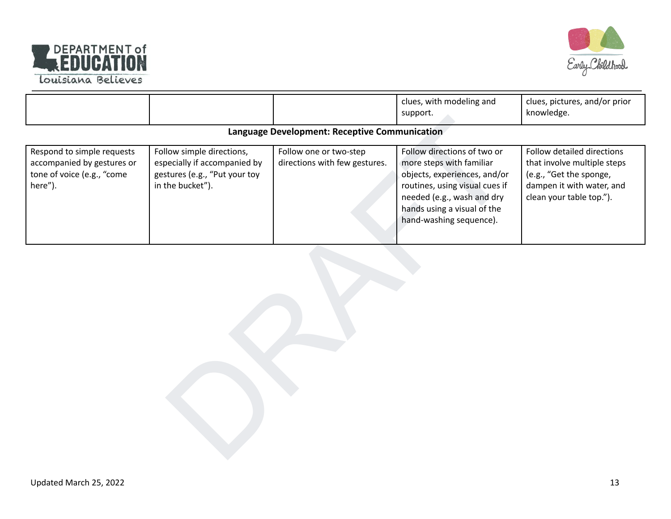



|                                                                                                   |                                                                                                                |                                                         | clues, with modeling and<br>support.                                                                                                                                                                              | clues, pictures, and/or prior<br>knowledge.                                                                                                   |  |  |
|---------------------------------------------------------------------------------------------------|----------------------------------------------------------------------------------------------------------------|---------------------------------------------------------|-------------------------------------------------------------------------------------------------------------------------------------------------------------------------------------------------------------------|-----------------------------------------------------------------------------------------------------------------------------------------------|--|--|
| Language Development: Receptive Communication                                                     |                                                                                                                |                                                         |                                                                                                                                                                                                                   |                                                                                                                                               |  |  |
| Respond to simple requests<br>accompanied by gestures or<br>tone of voice (e.g., "come<br>here"). | Follow simple directions,<br>especially if accompanied by<br>gestures (e.g., "Put your toy<br>in the bucket"). | Follow one or two-step<br>directions with few gestures. | Follow directions of two or<br>more steps with familiar<br>objects, experiences, and/or<br>routines, using visual cues if<br>needed (e.g., wash and dry<br>hands using a visual of the<br>hand-washing sequence). | Follow detailed directions<br>that involve multiple steps<br>(e.g., "Get the sponge,<br>dampen it with water, and<br>clean your table top."). |  |  |
|                                                                                                   |                                                                                                                |                                                         |                                                                                                                                                                                                                   |                                                                                                                                               |  |  |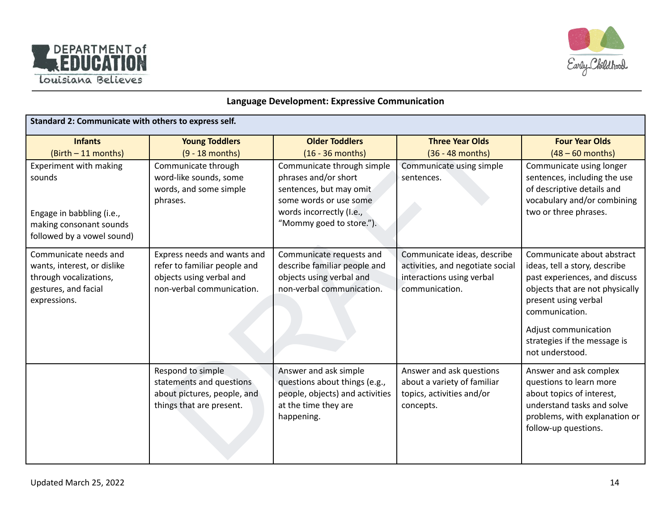



#### **Language Development: Expressive Communication**

| Standard 2: Communicate with others to express self.                                                                   |                                                                                                                      |                                                                                                                                 |                                                                                                                |                                                                                                                                                                                                                                                      |
|------------------------------------------------------------------------------------------------------------------------|----------------------------------------------------------------------------------------------------------------------|---------------------------------------------------------------------------------------------------------------------------------|----------------------------------------------------------------------------------------------------------------|------------------------------------------------------------------------------------------------------------------------------------------------------------------------------------------------------------------------------------------------------|
| <b>Infants</b><br>(Birth - 11 months)                                                                                  | <b>Young Toddlers</b><br>$(9 - 18$ months)                                                                           | <b>Older Toddlers</b><br>$(16 - 36$ months)                                                                                     | <b>Three Year Olds</b><br>(36 - 48 months)                                                                     | <b>Four Year Olds</b><br>$(48 - 60$ months)                                                                                                                                                                                                          |
| Experiment with making<br>sounds                                                                                       | Communicate through<br>word-like sounds, some<br>words, and some simple<br>phrases.                                  | Communicate through simple<br>phrases and/or short<br>sentences, but may omit<br>some words or use some                         | Communicate using simple<br>sentences.                                                                         | Communicate using longer<br>sentences, including the use<br>of descriptive details and<br>vocabulary and/or combining                                                                                                                                |
| Engage in babbling (i.e.,<br>making consonant sounds<br>followed by a vowel sound)                                     |                                                                                                                      | words incorrectly (I.e.,<br>"Mommy goed to store.").                                                                            |                                                                                                                | two or three phrases.                                                                                                                                                                                                                                |
| Communicate needs and<br>wants, interest, or dislike<br>through vocalizations,<br>gestures, and facial<br>expressions. | Express needs and wants and<br>refer to familiar people and<br>objects using verbal and<br>non-verbal communication. | Communicate requests and<br>describe familiar people and<br>objects using verbal and<br>non-verbal communication.               | Communicate ideas, describe<br>activities, and negotiate social<br>interactions using verbal<br>communication. | Communicate about abstract<br>ideas, tell a story, describe<br>past experiences, and discuss<br>objects that are not physically<br>present using verbal<br>communication.<br>Adjust communication<br>strategies if the message is<br>not understood. |
|                                                                                                                        | Respond to simple<br>statements and questions<br>about pictures, people, and<br>things that are present.             | Answer and ask simple<br>questions about things (e.g.,<br>people, objects) and activities<br>at the time they are<br>happening. | Answer and ask questions<br>about a variety of familiar<br>topics, activities and/or<br>concepts.              | Answer and ask complex<br>questions to learn more<br>about topics of interest,<br>understand tasks and solve<br>problems, with explanation or<br>follow-up questions.                                                                                |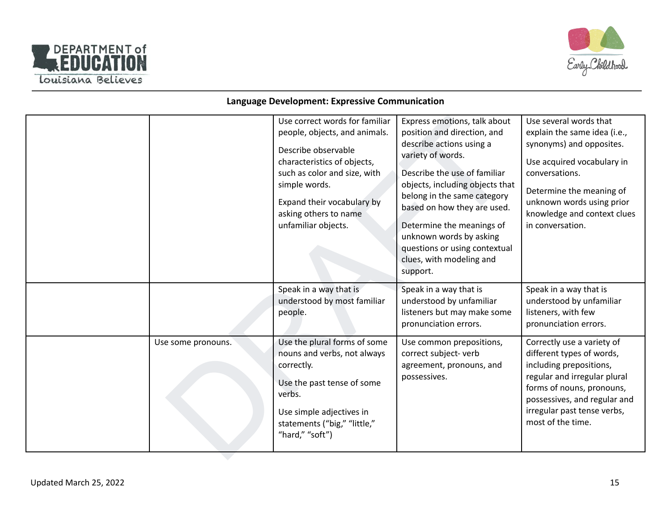



#### **Language Development: Expressive Communication**

|                    | Use correct words for familiar<br>people, objects, and animals.<br>Describe observable<br>characteristics of objects,<br>such as color and size, with<br>simple words.<br>Expand their vocabulary by<br>asking others to name<br>unfamiliar objects. | Express emotions, talk about<br>position and direction, and<br>describe actions using a<br>variety of words.<br>Describe the use of familiar<br>objects, including objects that<br>belong in the same category<br>based on how they are used.<br>Determine the meanings of<br>unknown words by asking<br>questions or using contextual<br>clues, with modeling and<br>support. | Use several words that<br>explain the same idea (i.e.,<br>synonyms) and opposites.<br>Use acquired vocabulary in<br>conversations.<br>Determine the meaning of<br>unknown words using prior<br>knowledge and context clues<br>in conversation. |
|--------------------|------------------------------------------------------------------------------------------------------------------------------------------------------------------------------------------------------------------------------------------------------|--------------------------------------------------------------------------------------------------------------------------------------------------------------------------------------------------------------------------------------------------------------------------------------------------------------------------------------------------------------------------------|------------------------------------------------------------------------------------------------------------------------------------------------------------------------------------------------------------------------------------------------|
|                    | Speak in a way that is<br>understood by most familiar<br>people.                                                                                                                                                                                     | Speak in a way that is<br>understood by unfamiliar<br>listeners but may make some<br>pronunciation errors.                                                                                                                                                                                                                                                                     | Speak in a way that is<br>understood by unfamiliar<br>listeners, with few<br>pronunciation errors.                                                                                                                                             |
| Use some pronouns. | Use the plural forms of some<br>nouns and verbs, not always<br>correctly.<br>Use the past tense of some<br>verbs.<br>Use simple adjectives in<br>statements ("big," "little,"<br>"hard," "soft")                                                     | Use common prepositions,<br>correct subject-verb<br>agreement, pronouns, and<br>possessives.                                                                                                                                                                                                                                                                                   | Correctly use a variety of<br>different types of words,<br>including prepositions,<br>regular and irregular plural<br>forms of nouns, pronouns,<br>possessives, and regular and<br>irregular past tense verbs,<br>most of the time.            |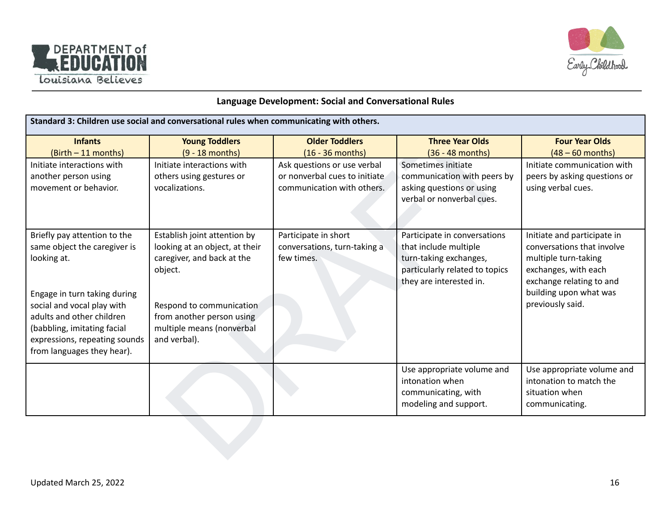



## **Language Development: Social and Conversational Rules**

| Standard 3: Children use social and conversational rules when communicating with others.                                                                                              |                                                                                                         |                                                                    |                                                                                                                                              |                                                                                                                                       |
|---------------------------------------------------------------------------------------------------------------------------------------------------------------------------------------|---------------------------------------------------------------------------------------------------------|--------------------------------------------------------------------|----------------------------------------------------------------------------------------------------------------------------------------------|---------------------------------------------------------------------------------------------------------------------------------------|
| <b>Infants</b>                                                                                                                                                                        | <b>Young Toddlers</b>                                                                                   | <b>Older Toddlers</b>                                              | <b>Three Year Olds</b>                                                                                                                       | <b>Four Year Olds</b>                                                                                                                 |
| (Birth - 11 months)                                                                                                                                                                   | $(9 - 18$ months)                                                                                       | $(16 - 36$ months)                                                 | (36 - 48 months)                                                                                                                             | $(48 - 60$ months)                                                                                                                    |
| Initiate interactions with                                                                                                                                                            | Initiate interactions with                                                                              | Ask questions or use verbal                                        | Sometimes initiate                                                                                                                           | Initiate communication with                                                                                                           |
| another person using                                                                                                                                                                  | others using gestures or                                                                                | or nonverbal cues to initiate                                      | communication with peers by                                                                                                                  | peers by asking questions or                                                                                                          |
| movement or behavior.                                                                                                                                                                 | vocalizations.                                                                                          | communication with others.                                         | asking questions or using<br>verbal or nonverbal cues.                                                                                       | using verbal cues.                                                                                                                    |
| Briefly pay attention to the<br>same object the caregiver is<br>looking at.                                                                                                           | Establish joint attention by<br>looking at an object, at their<br>caregiver, and back at the<br>object. | Participate in short<br>conversations, turn-taking a<br>few times. | Participate in conversations<br>that include multiple<br>turn-taking exchanges,<br>particularly related to topics<br>they are interested in. | Initiate and participate in<br>conversations that involve<br>multiple turn-taking<br>exchanges, with each<br>exchange relating to and |
| Engage in turn taking during<br>social and vocal play with<br>adults and other children<br>(babbling, imitating facial<br>expressions, repeating sounds<br>from languages they hear). | Respond to communication<br>from another person using<br>multiple means (nonverbal<br>and verbal).      |                                                                    |                                                                                                                                              | building upon what was<br>previously said.                                                                                            |
|                                                                                                                                                                                       |                                                                                                         |                                                                    | Use appropriate volume and<br>intonation when<br>communicating, with<br>modeling and support.                                                | Use appropriate volume and<br>intonation to match the<br>situation when<br>communicating.                                             |
|                                                                                                                                                                                       |                                                                                                         |                                                                    |                                                                                                                                              |                                                                                                                                       |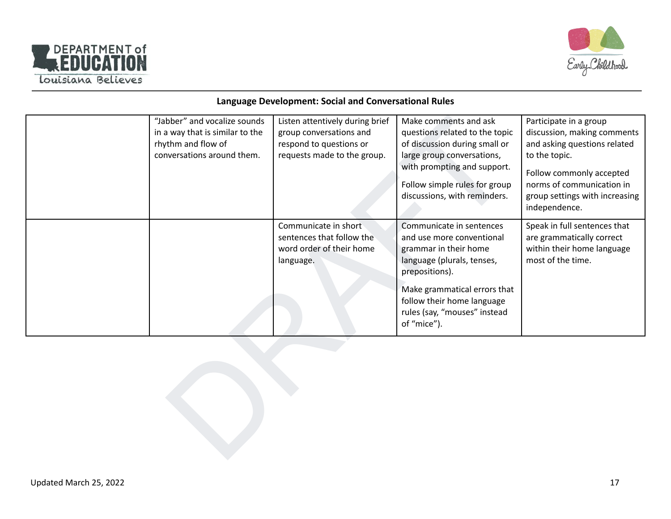



#### **Language Development: Social and Conversational Rules**

| "Jabber" and vocalize sounds<br>in a way that is similar to the<br>rhythm and flow of<br>conversations around them. | Listen attentively during brief<br>group conversations and<br>respond to questions or<br>requests made to the group. | Make comments and ask<br>questions related to the topic<br>of discussion during small or<br>large group conversations,<br>with prompting and support.<br>Follow simple rules for group<br>discussions, with reminders.                      | Participate in a group<br>discussion, making comments<br>and asking questions related<br>to the topic.<br>Follow commonly accepted<br>norms of communication in<br>group settings with increasing<br>independence. |
|---------------------------------------------------------------------------------------------------------------------|----------------------------------------------------------------------------------------------------------------------|---------------------------------------------------------------------------------------------------------------------------------------------------------------------------------------------------------------------------------------------|--------------------------------------------------------------------------------------------------------------------------------------------------------------------------------------------------------------------|
|                                                                                                                     | Communicate in short<br>sentences that follow the<br>word order of their home<br>language.                           | Communicate in sentences<br>and use more conventional<br>grammar in their home<br>language (plurals, tenses,<br>prepositions).<br>Make grammatical errors that<br>follow their home language<br>rules (say, "mouses" instead<br>of "mice"). | Speak in full sentences that<br>are grammatically correct<br>within their home language<br>most of the time.                                                                                                       |
|                                                                                                                     |                                                                                                                      |                                                                                                                                                                                                                                             |                                                                                                                                                                                                                    |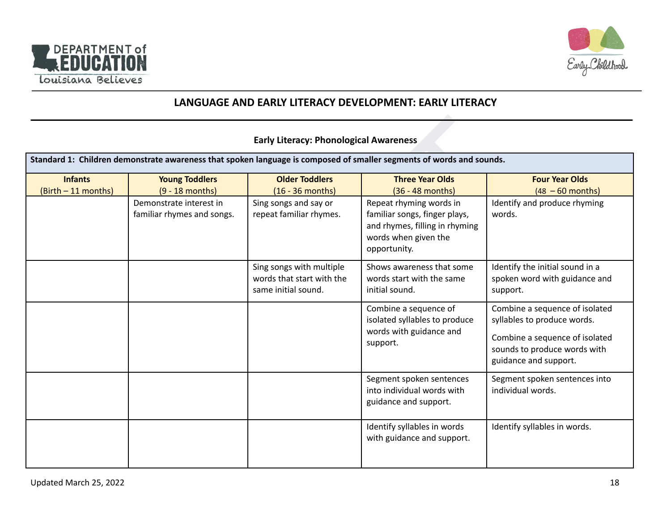



# **LANGUAGE AND EARLY LITERACY DEVELOPMENT: EARLY LITERACY**

#### **Early Literacy: Phonological Awareness**

|                                         |                                                       | <b>Early Literacy: Phonological Awareness</b>                                |                                                                                                                                    |                                                                                                                                                          |
|-----------------------------------------|-------------------------------------------------------|------------------------------------------------------------------------------|------------------------------------------------------------------------------------------------------------------------------------|----------------------------------------------------------------------------------------------------------------------------------------------------------|
|                                         |                                                       |                                                                              | Standard 1: Children demonstrate awareness that spoken language is composed of smaller segments of words and sounds.               |                                                                                                                                                          |
| <b>Infants</b><br>$(Birth - 11 months)$ | <b>Young Toddlers</b><br>$(9 - 18$ months)            | <b>Older Toddlers</b><br>$(16 - 36$ months)                                  | <b>Three Year Olds</b><br>(36 - 48 months)                                                                                         | <b>Four Year Olds</b><br>$(48 - 60$ months)                                                                                                              |
|                                         | Demonstrate interest in<br>familiar rhymes and songs. | Sing songs and say or<br>repeat familiar rhymes.                             | Repeat rhyming words in<br>familiar songs, finger plays,<br>and rhymes, filling in rhyming<br>words when given the<br>opportunity. | Identify and produce rhyming<br>words.                                                                                                                   |
|                                         |                                                       | Sing songs with multiple<br>words that start with the<br>same initial sound. | Shows awareness that some<br>words start with the same<br>initial sound.                                                           | Identify the initial sound in a<br>spoken word with guidance and<br>support.                                                                             |
|                                         |                                                       |                                                                              | Combine a sequence of<br>isolated syllables to produce<br>words with guidance and<br>support.                                      | Combine a sequence of isolated<br>syllables to produce words.<br>Combine a sequence of isolated<br>sounds to produce words with<br>guidance and support. |
|                                         |                                                       |                                                                              | Segment spoken sentences<br>into individual words with<br>guidance and support.                                                    | Segment spoken sentences into<br>individual words.                                                                                                       |
|                                         |                                                       |                                                                              | Identify syllables in words<br>with guidance and support.                                                                          | Identify syllables in words.                                                                                                                             |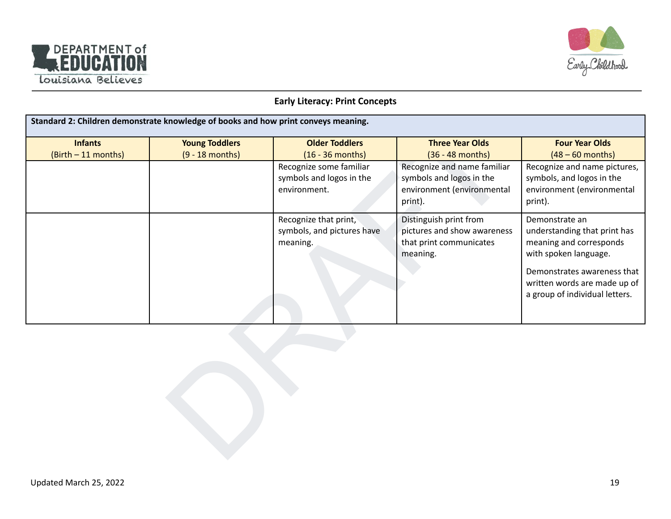



#### **Early Literacy: Print Concepts**

|                                       | Standard 2: Children demonstrate knowledge of books and how print conveys meaning. |                                                                     |                                                                                                  |                                                                                                                                                                                                     |
|---------------------------------------|------------------------------------------------------------------------------------|---------------------------------------------------------------------|--------------------------------------------------------------------------------------------------|-----------------------------------------------------------------------------------------------------------------------------------------------------------------------------------------------------|
| <b>Infants</b><br>(Birth - 11 months) | <b>Young Toddlers</b><br>$(9 - 18$ months)                                         | <b>Older Toddlers</b><br>$(16 - 36$ months)                         | <b>Three Year Olds</b><br>$(36 - 48$ months)                                                     | <b>Four Year Olds</b><br>$(48 - 60$ months)                                                                                                                                                         |
|                                       |                                                                                    | Recognize some familiar<br>symbols and logos in the<br>environment. | Recognize and name familiar<br>symbols and logos in the<br>environment (environmental<br>print). | Recognize and name pictures,<br>symbols, and logos in the<br>environment (environmental<br>print).                                                                                                  |
|                                       |                                                                                    | Recognize that print,<br>symbols, and pictures have<br>meaning.     | Distinguish print from<br>pictures and show awareness<br>that print communicates<br>meaning.     | Demonstrate an<br>understanding that print has<br>meaning and corresponds<br>with spoken language.<br>Demonstrates awareness that<br>written words are made up of<br>a group of individual letters. |
|                                       |                                                                                    |                                                                     |                                                                                                  |                                                                                                                                                                                                     |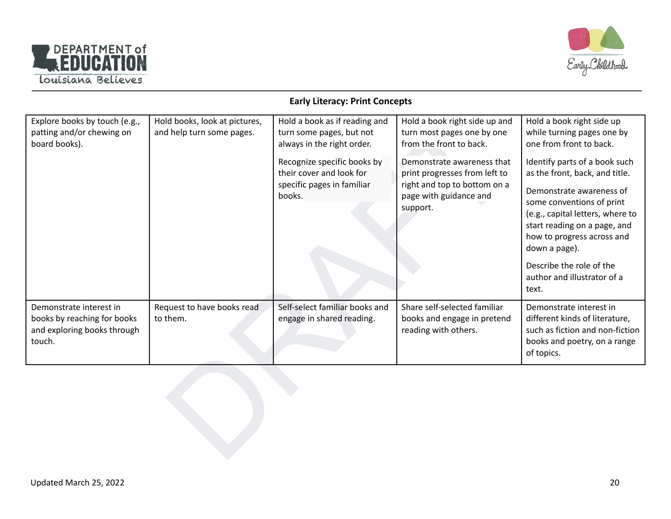



#### **Early Literacy: Print Concepts**

| Explore books by touch (e.g.,<br>patting and/or chewing on<br>board books).                     | Hold books, look at pictures,<br>and help turn some pages. | Hold a book as if reading and<br>turn some pages, but not<br>always in the right order.<br>Recognize specific books by<br>their cover and look for<br>specific pages in familiar<br>books. | Hold a book right side up and<br>turn most pages one by one<br>from the front to back.<br>Demonstrate awareness that<br>print progresses from left to<br>right and top to bottom on a<br>page with guidance and<br>support. | Hold a book right side up<br>while turning pages one by<br>one from front to back.<br>Identify parts of a book such<br>as the front, back, and title.<br>Demonstrate awareness of<br>some conventions of print<br>(e.g., capital letters, where to<br>start reading on a page, and<br>how to progress across and<br>down a page).<br>Describe the role of the<br>author and illustrator of a<br>text. |  |
|-------------------------------------------------------------------------------------------------|------------------------------------------------------------|--------------------------------------------------------------------------------------------------------------------------------------------------------------------------------------------|-----------------------------------------------------------------------------------------------------------------------------------------------------------------------------------------------------------------------------|-------------------------------------------------------------------------------------------------------------------------------------------------------------------------------------------------------------------------------------------------------------------------------------------------------------------------------------------------------------------------------------------------------|--|
| Demonstrate interest in<br>books by reaching for books<br>and exploring books through<br>touch. | Request to have books read<br>to them.                     | Self-select familiar books and<br>engage in shared reading.                                                                                                                                | Share self-selected familiar<br>books and engage in pretend<br>reading with others.                                                                                                                                         | Demonstrate interest in<br>different kinds of literature,<br>such as fiction and non-fiction<br>books and poetry, on a range<br>of topics.                                                                                                                                                                                                                                                            |  |
|                                                                                                 |                                                            |                                                                                                                                                                                            |                                                                                                                                                                                                                             |                                                                                                                                                                                                                                                                                                                                                                                                       |  |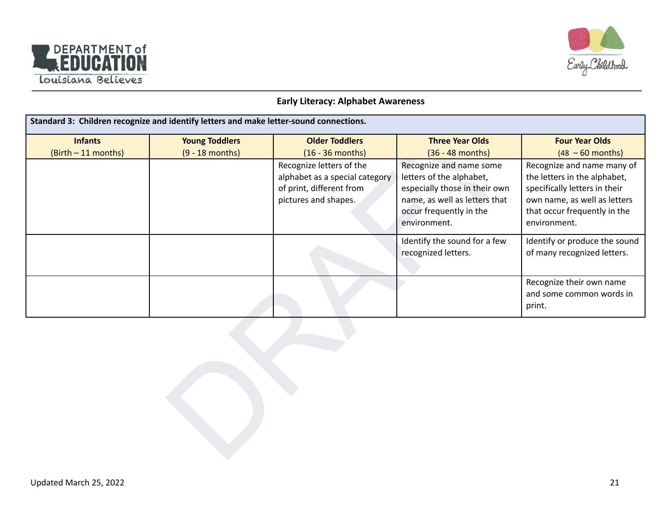



#### **Early Literacy: Alphabet Awareness**

| Standard 3: Children recognize and identify letters and make letter-sound connections. |                       |                                                                                                                |                                                                                                                                                                  |                                                                                                                                                                             |  |
|----------------------------------------------------------------------------------------|-----------------------|----------------------------------------------------------------------------------------------------------------|------------------------------------------------------------------------------------------------------------------------------------------------------------------|-----------------------------------------------------------------------------------------------------------------------------------------------------------------------------|--|
| <b>Infants</b>                                                                         | <b>Young Toddlers</b> | <b>Older Toddlers</b>                                                                                          | <b>Three Year Olds</b>                                                                                                                                           | <b>Four Year Olds</b>                                                                                                                                                       |  |
| (Birth - 11 months)                                                                    | $(9 - 18$ months)     | $(16 - 36$ months)                                                                                             | $(36 - 48$ months)                                                                                                                                               | $(48 - 60$ months)                                                                                                                                                          |  |
|                                                                                        |                       | Recognize letters of the<br>alphabet as a special category<br>of print, different from<br>pictures and shapes. | Recognize and name some<br>letters of the alphabet,<br>especially those in their own<br>name, as well as letters that<br>occur frequently in the<br>environment. | Recognize and name many of<br>the letters in the alphabet,<br>specifically letters in their<br>own name, as well as letters<br>that occur frequently in the<br>environment. |  |
|                                                                                        |                       |                                                                                                                | Identify the sound for a few<br>recognized letters.                                                                                                              | Identify or produce the sound<br>of many recognized letters.                                                                                                                |  |
|                                                                                        |                       |                                                                                                                |                                                                                                                                                                  | Recognize their own name<br>and some common words in<br>print.                                                                                                              |  |
|                                                                                        |                       |                                                                                                                |                                                                                                                                                                  |                                                                                                                                                                             |  |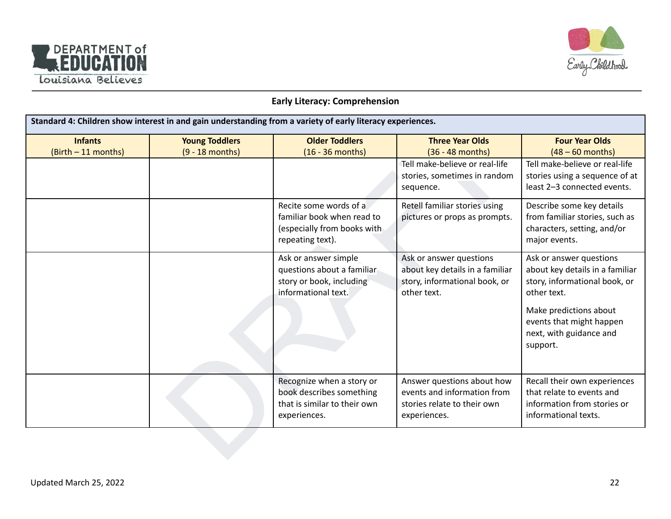



#### **Early Literacy: Comprehension**

| Standard 4: Children show interest in and gain understanding from a variety of early literacy experiences. |                                            |                                                                                                         |                                                                                                            |                                                                                                                                                                                                         |
|------------------------------------------------------------------------------------------------------------|--------------------------------------------|---------------------------------------------------------------------------------------------------------|------------------------------------------------------------------------------------------------------------|---------------------------------------------------------------------------------------------------------------------------------------------------------------------------------------------------------|
| <b>Infants</b><br>(Birth - 11 months)                                                                      | <b>Young Toddlers</b><br>$(9 - 18$ months) | <b>Older Toddlers</b><br>$(16 - 36$ months)                                                             | <b>Three Year Olds</b><br>$(36 - 48$ months)                                                               | <b>Four Year Olds</b><br>$(48 - 60$ months)                                                                                                                                                             |
|                                                                                                            |                                            |                                                                                                         | Tell make-believe or real-life<br>stories, sometimes in random<br>sequence.                                | Tell make-believe or real-life<br>stories using a sequence of at<br>least 2-3 connected events.                                                                                                         |
|                                                                                                            |                                            | Recite some words of a<br>familiar book when read to<br>(especially from books with<br>repeating text). | Retell familiar stories using<br>pictures or props as prompts.                                             | Describe some key details<br>from familiar stories, such as<br>characters, setting, and/or<br>major events.                                                                                             |
|                                                                                                            |                                            | Ask or answer simple<br>questions about a familiar<br>story or book, including<br>informational text.   | Ask or answer questions<br>about key details in a familiar<br>story, informational book, or<br>other text. | Ask or answer questions<br>about key details in a familiar<br>story, informational book, or<br>other text.<br>Make predictions about<br>events that might happen<br>next, with guidance and<br>support. |
|                                                                                                            |                                            | Recognize when a story or<br>book describes something<br>that is similar to their own<br>experiences.   | Answer questions about how<br>events and information from<br>stories relate to their own<br>experiences.   | Recall their own experiences<br>that relate to events and<br>information from stories or<br>informational texts.                                                                                        |
|                                                                                                            |                                            |                                                                                                         |                                                                                                            |                                                                                                                                                                                                         |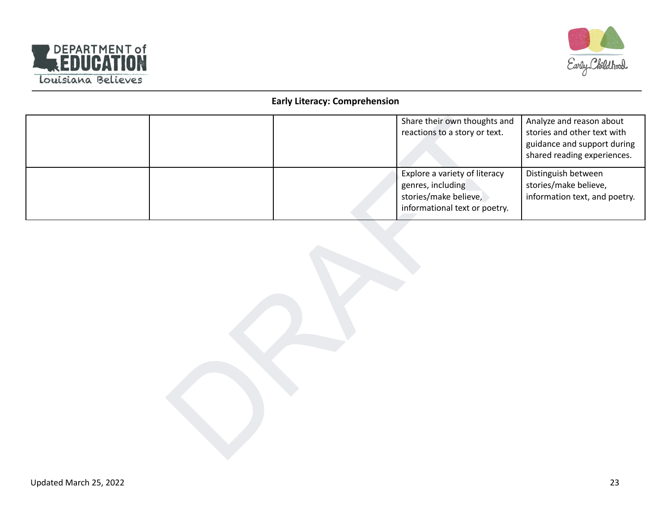



## **Early Literacy: Comprehension**

|  | Share their own thoughts and<br>reactions to a story or text.                                                | Analyze and reason about<br>stories and other text with<br>guidance and support during<br>shared reading experiences. |
|--|--------------------------------------------------------------------------------------------------------------|-----------------------------------------------------------------------------------------------------------------------|
|  | Explore a variety of literacy<br>genres, including<br>stories/make believe,<br>informational text or poetry. | Distinguish between<br>stories/make believe,<br>information text, and poetry.                                         |
|  |                                                                                                              |                                                                                                                       |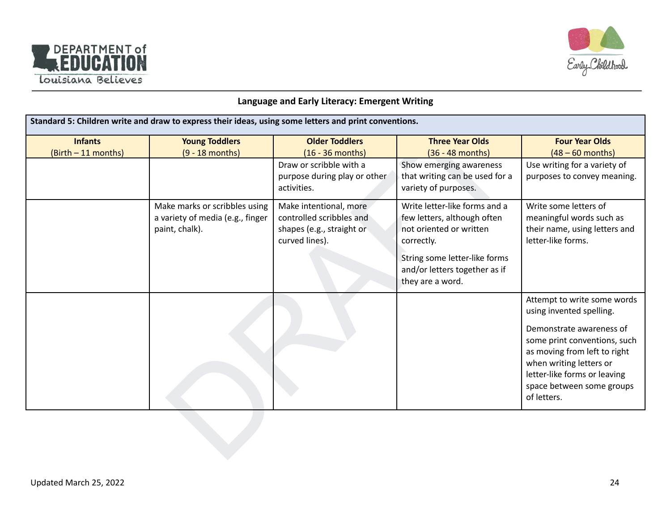



## **Language and Early Literacy: Emergent Writing**

| <b>Infants</b><br>(Birth - 11 months) | <b>Young Toddlers</b><br>$(9 - 18$ months) | <b>Older Toddlers</b><br>$(16 - 36$ months)<br>Draw or scribble with a | <b>Three Year Olds</b><br>(36 - 48 months) | <b>Four Year Olds</b><br>$(48 - 60$ months)         |
|---------------------------------------|--------------------------------------------|------------------------------------------------------------------------|--------------------------------------------|-----------------------------------------------------|
|                                       |                                            |                                                                        |                                            |                                                     |
|                                       |                                            |                                                                        |                                            |                                                     |
|                                       |                                            |                                                                        | Show emerging awareness                    | Use writing for a variety of                        |
|                                       |                                            | purpose during play or other                                           | that writing can be used for a             | purposes to convey meaning.                         |
|                                       |                                            | activities.                                                            | variety of purposes.                       |                                                     |
|                                       | Make marks or scribbles using              | Make intentional, more                                                 | Write letter-like forms and a              | Write some letters of                               |
|                                       | a variety of media (e.g., finger           | controlled scribbles and                                               | few letters, although often                | meaningful words such as                            |
|                                       | paint, chalk).                             | shapes (e.g., straight or<br>curved lines).                            | not oriented or written<br>correctly.      | their name, using letters and<br>letter-like forms. |
|                                       |                                            |                                                                        | String some letter-like forms              |                                                     |
|                                       |                                            |                                                                        | and/or letters together as if              |                                                     |
|                                       |                                            |                                                                        | they are a word.                           |                                                     |
|                                       |                                            |                                                                        |                                            | Attempt to write some words                         |
|                                       |                                            |                                                                        |                                            | using invented spelling.                            |
|                                       |                                            |                                                                        |                                            | Demonstrate awareness of                            |
|                                       |                                            |                                                                        |                                            | some print conventions, such                        |
|                                       |                                            |                                                                        |                                            | as moving from left to right                        |
|                                       |                                            |                                                                        |                                            | when writing letters or                             |
|                                       |                                            |                                                                        |                                            | letter-like forms or leaving                        |
|                                       |                                            |                                                                        |                                            | space between some groups                           |
|                                       |                                            |                                                                        |                                            | of letters.                                         |
|                                       |                                            |                                                                        |                                            |                                                     |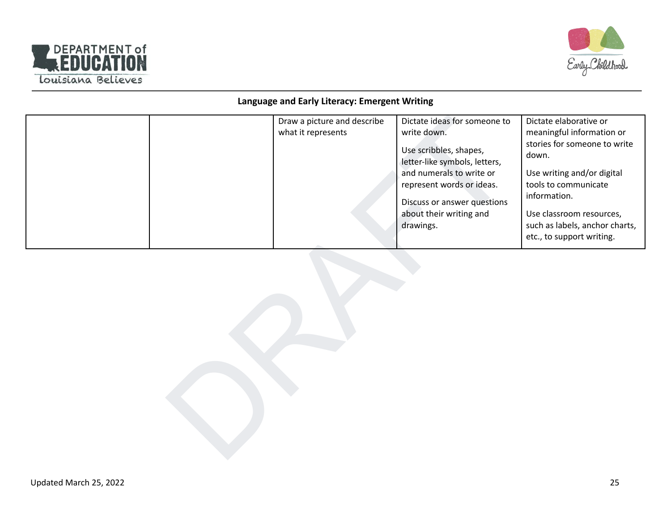



## **Language and Early Literacy: Emergent Writing**

|  | Draw a picture and describe<br>what it represents | Dictate ideas for someone to<br>write down.<br>Use scribbles, shapes,<br>letter-like symbols, letters,<br>and numerals to write or<br>represent words or ideas.<br>Discuss or answer questions<br>about their writing and<br>drawings. | Dictate elaborative or<br>meaningful information or<br>stories for someone to write<br>down.<br>Use writing and/or digital<br>tools to communicate<br>information.<br>Use classroom resources,<br>such as labels, anchor charts,<br>etc., to support writing. |
|--|---------------------------------------------------|----------------------------------------------------------------------------------------------------------------------------------------------------------------------------------------------------------------------------------------|---------------------------------------------------------------------------------------------------------------------------------------------------------------------------------------------------------------------------------------------------------------|
|  |                                                   |                                                                                                                                                                                                                                        |                                                                                                                                                                                                                                                               |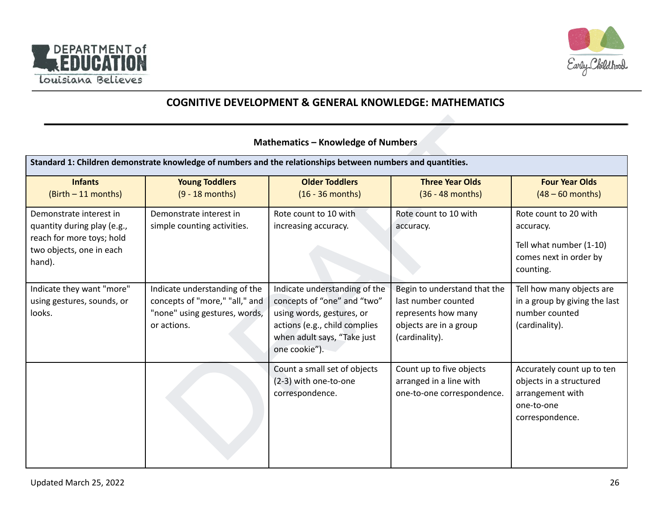



# **COGNITIVE DEVELOPMENT & GENERAL KNOWLEDGE: MATHEMATICS**

#### **Mathematics – Knowledge of Numbers**

| <b>Mathematics - Knowledge of Numbers</b>                                                                                 |                                                                                                                 |                                                                                                                                                                            |                                                                                                                        |                                                                                                            |  |
|---------------------------------------------------------------------------------------------------------------------------|-----------------------------------------------------------------------------------------------------------------|----------------------------------------------------------------------------------------------------------------------------------------------------------------------------|------------------------------------------------------------------------------------------------------------------------|------------------------------------------------------------------------------------------------------------|--|
|                                                                                                                           | Standard 1: Children demonstrate knowledge of numbers and the relationships between numbers and quantities.     |                                                                                                                                                                            |                                                                                                                        |                                                                                                            |  |
| <b>Infants</b><br>$(Birth - 11 months)$                                                                                   | <b>Young Toddlers</b><br>$(9 - 18$ months)                                                                      | <b>Older Toddlers</b><br>$(16 - 36$ months)                                                                                                                                | <b>Three Year Olds</b><br>$(36 - 48$ months)                                                                           | <b>Four Year Olds</b><br>$(48 - 60$ months)                                                                |  |
| Demonstrate interest in<br>quantity during play (e.g.,<br>reach for more toys; hold<br>two objects, one in each<br>hand). | Demonstrate interest in<br>simple counting activities.                                                          | Rote count to 10 with<br>increasing accuracy.                                                                                                                              | Rote count to 10 with<br>accuracy.                                                                                     | Rote count to 20 with<br>accuracy.<br>Tell what number (1-10)<br>comes next in order by<br>counting.       |  |
| Indicate they want "more"<br>using gestures, sounds, or<br>looks.                                                         | Indicate understanding of the<br>concepts of "more," "all," and<br>"none" using gestures, words,<br>or actions. | Indicate understanding of the<br>concepts of "one" and "two"<br>using words, gestures, or<br>actions (e.g., child complies<br>when adult says, "Take just<br>one cookie"). | Begin to understand that the<br>last number counted<br>represents how many<br>objects are in a group<br>(cardinality). | Tell how many objects are<br>in a group by giving the last<br>number counted<br>(cardinality).             |  |
|                                                                                                                           |                                                                                                                 | Count a small set of objects<br>(2-3) with one-to-one<br>correspondence.                                                                                                   | Count up to five objects<br>arranged in a line with<br>one-to-one correspondence.                                      | Accurately count up to ten<br>objects in a structured<br>arrangement with<br>one-to-one<br>correspondence. |  |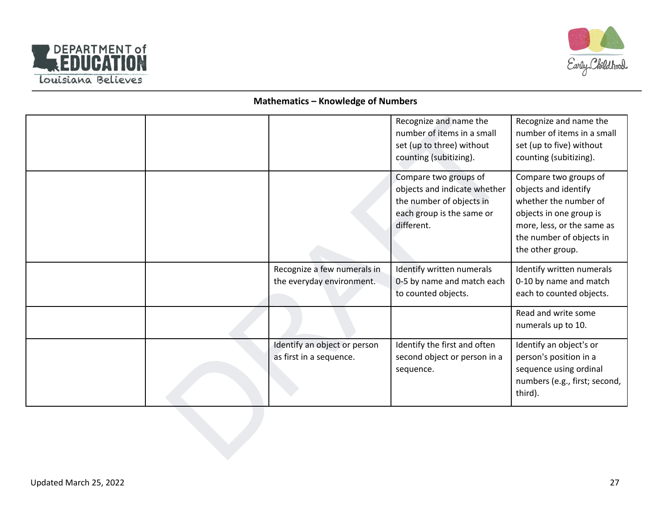



#### **Mathematics – Knowledge of Numbers**

|  |                              | Recognize and name the       | Recognize and name the        |
|--|------------------------------|------------------------------|-------------------------------|
|  |                              | number of items in a small   | number of items in a small    |
|  |                              | set (up to three) without    | set (up to five) without      |
|  |                              | counting (subitizing).       | counting (subitizing).        |
|  |                              | Compare two groups of        | Compare two groups of         |
|  |                              | objects and indicate whether | objects and identify          |
|  |                              | the number of objects in     | whether the number of         |
|  |                              | each group is the same or    | objects in one group is       |
|  |                              | different.                   | more, less, or the same as    |
|  |                              |                              | the number of objects in      |
|  |                              |                              | the other group.              |
|  |                              |                              |                               |
|  | Recognize a few numerals in  | Identify written numerals    | Identify written numerals     |
|  | the everyday environment.    | 0-5 by name and match each   | 0-10 by name and match        |
|  |                              | to counted objects.          | each to counted objects.      |
|  |                              |                              | Read and write some           |
|  |                              |                              | numerals up to 10.            |
|  |                              |                              |                               |
|  | Identify an object or person | Identify the first and often | Identify an object's or       |
|  | as first in a sequence.      | second object or person in a | person's position in a        |
|  |                              | sequence.                    | sequence using ordinal        |
|  |                              |                              | numbers (e.g., first; second, |
|  |                              |                              | third).                       |
|  |                              |                              |                               |
|  |                              |                              |                               |
|  |                              |                              |                               |
|  |                              |                              |                               |
|  |                              |                              |                               |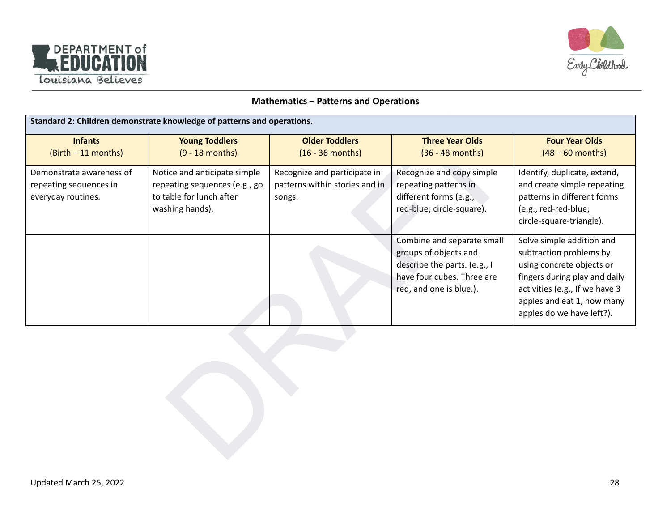



#### **Mathematics – Patterns and Operations**

| Standard 2: Children demonstrate knowledge of patterns and operations.   |                                                                                                              |                                                                          |                                                                                                                                              |                                                                                                                                                                                                                 |  |
|--------------------------------------------------------------------------|--------------------------------------------------------------------------------------------------------------|--------------------------------------------------------------------------|----------------------------------------------------------------------------------------------------------------------------------------------|-----------------------------------------------------------------------------------------------------------------------------------------------------------------------------------------------------------------|--|
| <b>Infants</b><br>(Birth - 11 months)                                    | <b>Young Toddlers</b><br>$(9 - 18$ months)                                                                   | <b>Older Toddlers</b><br>$(16 - 36$ months)                              | <b>Three Year Olds</b><br>$(36 - 48$ months)                                                                                                 | <b>Four Year Olds</b><br>$(48 - 60$ months)                                                                                                                                                                     |  |
| Demonstrate awareness of<br>repeating sequences in<br>everyday routines. | Notice and anticipate simple<br>repeating sequences (e.g., go<br>to table for lunch after<br>washing hands). | Recognize and participate in<br>patterns within stories and in<br>songs. | Recognize and copy simple<br>repeating patterns in<br>different forms (e.g.,<br>red-blue; circle-square).                                    | Identify, duplicate, extend,<br>and create simple repeating<br>patterns in different forms<br>(e.g., red-red-blue;<br>circle-square-triangle).                                                                  |  |
|                                                                          |                                                                                                              |                                                                          | Combine and separate small<br>groups of objects and<br>describe the parts. (e.g., I<br>have four cubes. Three are<br>red, and one is blue.). | Solve simple addition and<br>subtraction problems by<br>using concrete objects or<br>fingers during play and daily<br>activities (e.g., If we have 3<br>apples and eat 1, how many<br>apples do we have left?). |  |
|                                                                          |                                                                                                              |                                                                          |                                                                                                                                              |                                                                                                                                                                                                                 |  |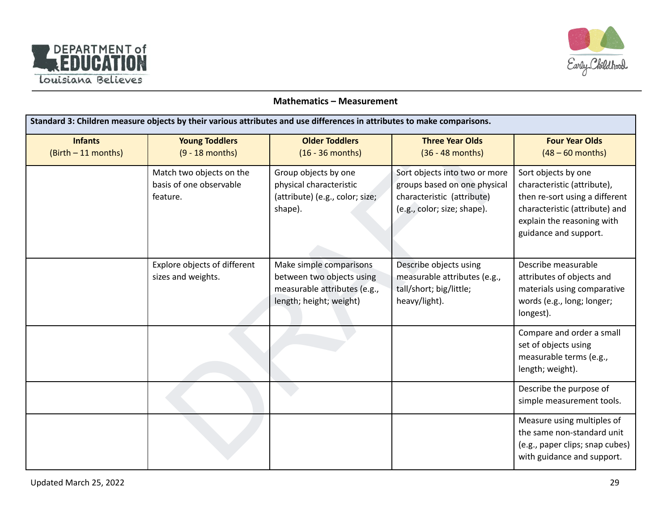



#### **Mathematics – Measurement**

| Standard 3: Children measure objects by their various attributes and use differences in attributes to make comparisons. |                                                                 |                                                                                                                 |                                                                                                                            |                                                                                                                                                                               |
|-------------------------------------------------------------------------------------------------------------------------|-----------------------------------------------------------------|-----------------------------------------------------------------------------------------------------------------|----------------------------------------------------------------------------------------------------------------------------|-------------------------------------------------------------------------------------------------------------------------------------------------------------------------------|
| <b>Infants</b><br>(Birth - 11 months)                                                                                   | <b>Young Toddlers</b><br>$(9 - 18$ months)                      | <b>Older Toddlers</b><br>$(16 - 36$ months)                                                                     | <b>Three Year Olds</b><br>$(36 - 48$ months)                                                                               | <b>Four Year Olds</b><br>$(48 - 60$ months)                                                                                                                                   |
|                                                                                                                         | Match two objects on the<br>basis of one observable<br>feature. | Group objects by one<br>physical characteristic<br>(attribute) (e.g., color; size;<br>shape).                   | Sort objects into two or more<br>groups based on one physical<br>characteristic (attribute)<br>(e.g., color; size; shape). | Sort objects by one<br>characteristic (attribute),<br>then re-sort using a different<br>characteristic (attribute) and<br>explain the reasoning with<br>guidance and support. |
|                                                                                                                         | Explore objects of different<br>sizes and weights.              | Make simple comparisons<br>between two objects using<br>measurable attributes (e.g.,<br>length; height; weight) | Describe objects using<br>measurable attributes (e.g.,<br>tall/short; big/little;<br>heavy/light).                         | Describe measurable<br>attributes of objects and<br>materials using comparative<br>words (e.g., long; longer;<br>longest).                                                    |
|                                                                                                                         |                                                                 |                                                                                                                 |                                                                                                                            | Compare and order a small<br>set of objects using<br>measurable terms (e.g.,<br>length; weight).                                                                              |
|                                                                                                                         |                                                                 |                                                                                                                 |                                                                                                                            | Describe the purpose of<br>simple measurement tools.                                                                                                                          |
|                                                                                                                         |                                                                 |                                                                                                                 |                                                                                                                            | Measure using multiples of<br>the same non-standard unit<br>(e.g., paper clips; snap cubes)<br>with guidance and support.                                                     |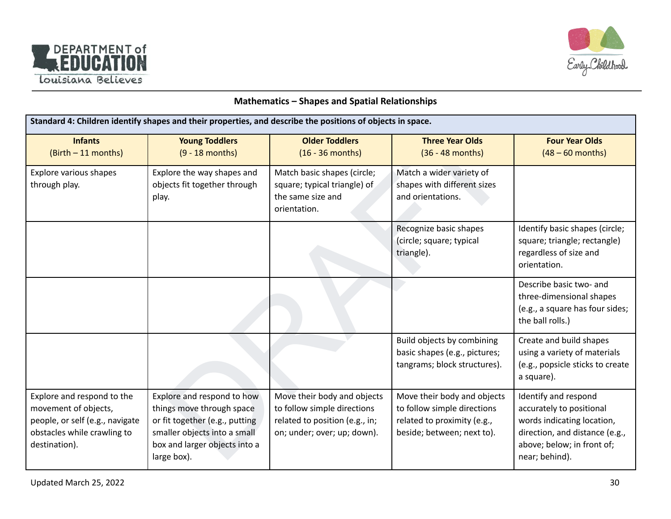



#### **Mathematics – Shapes and Spatial Relationships**

| Standard 4: Children identify shapes and their properties, and describe the positions of objects in space.                            |                                                                                                                                                                           |                                                                                                                             |                                                                                                                         |                                                                                                                                                                  |  |
|---------------------------------------------------------------------------------------------------------------------------------------|---------------------------------------------------------------------------------------------------------------------------------------------------------------------------|-----------------------------------------------------------------------------------------------------------------------------|-------------------------------------------------------------------------------------------------------------------------|------------------------------------------------------------------------------------------------------------------------------------------------------------------|--|
| <b>Infants</b><br>(Birth - 11 months)                                                                                                 | <b>Young Toddlers</b><br>$(9 - 18$ months)                                                                                                                                | <b>Older Toddlers</b><br>$(16 - 36$ months)                                                                                 | <b>Three Year Olds</b><br>$(36 - 48$ months)                                                                            | <b>Four Year Olds</b><br>$(48 - 60$ months)                                                                                                                      |  |
| Explore various shapes<br>through play.                                                                                               | Explore the way shapes and<br>objects fit together through<br>play.                                                                                                       | Match basic shapes (circle;<br>square; typical triangle) of<br>the same size and<br>orientation.                            | Match a wider variety of<br>shapes with different sizes<br>and orientations.                                            |                                                                                                                                                                  |  |
|                                                                                                                                       |                                                                                                                                                                           |                                                                                                                             | Recognize basic shapes<br>(circle; square; typical<br>triangle).                                                        | Identify basic shapes (circle;<br>square; triangle; rectangle)<br>regardless of size and<br>orientation.                                                         |  |
|                                                                                                                                       |                                                                                                                                                                           |                                                                                                                             |                                                                                                                         | Describe basic two- and<br>three-dimensional shapes<br>(e.g., a square has four sides;<br>the ball rolls.)                                                       |  |
|                                                                                                                                       |                                                                                                                                                                           |                                                                                                                             | Build objects by combining<br>basic shapes (e.g., pictures;<br>tangrams; block structures).                             | Create and build shapes<br>using a variety of materials<br>(e.g., popsicle sticks to create<br>a square).                                                        |  |
| Explore and respond to the<br>movement of objects,<br>people, or self (e.g., navigate<br>obstacles while crawling to<br>destination). | Explore and respond to how<br>things move through space<br>or fit together (e.g., putting<br>smaller objects into a small<br>box and larger objects into a<br>large box). | Move their body and objects<br>to follow simple directions<br>related to position (e.g., in;<br>on; under; over; up; down). | Move their body and objects<br>to follow simple directions<br>related to proximity (e.g.,<br>beside; between; next to). | Identify and respond<br>accurately to positional<br>words indicating location,<br>direction, and distance (e.g.,<br>above; below; in front of;<br>near; behind). |  |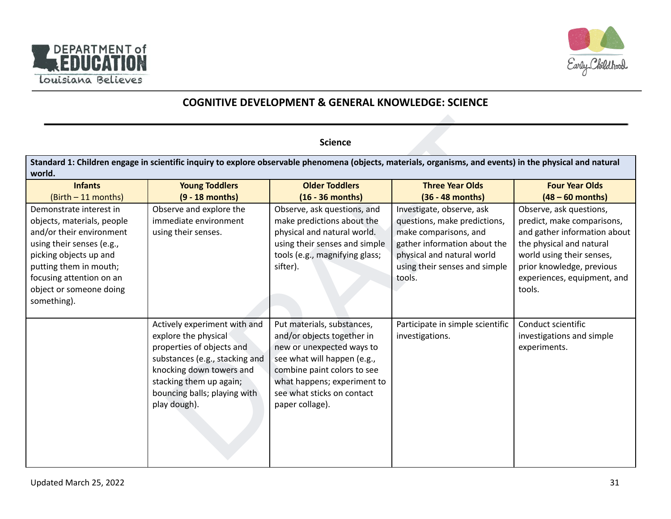



# **COGNITIVE DEVELOPMENT & GENERAL KNOWLEDGE: SCIENCE**

#### **Science**

| <b>Science</b>                                                                                                                                                                                                                           |                                                                                                                                                                                                                            |                                                                                                                                                                                                                                     |                                                                                                                                                                                             |                                                                                                                                                                                                                      |
|------------------------------------------------------------------------------------------------------------------------------------------------------------------------------------------------------------------------------------------|----------------------------------------------------------------------------------------------------------------------------------------------------------------------------------------------------------------------------|-------------------------------------------------------------------------------------------------------------------------------------------------------------------------------------------------------------------------------------|---------------------------------------------------------------------------------------------------------------------------------------------------------------------------------------------|----------------------------------------------------------------------------------------------------------------------------------------------------------------------------------------------------------------------|
| world.                                                                                                                                                                                                                                   | Standard 1: Children engage in scientific inquiry to explore observable phenomena (objects, materials, organisms, and events) in the physical and natural                                                                  |                                                                                                                                                                                                                                     |                                                                                                                                                                                             |                                                                                                                                                                                                                      |
| <b>Infants</b><br>(Birth - 11 months)                                                                                                                                                                                                    | <b>Young Toddlers</b><br>$(9 - 18$ months)                                                                                                                                                                                 | <b>Older Toddlers</b><br>$(16 - 36$ months)                                                                                                                                                                                         | <b>Three Year Olds</b><br>(36 - 48 months)                                                                                                                                                  | <b>Four Year Olds</b><br>$(48 - 60$ months)                                                                                                                                                                          |
| Demonstrate interest in<br>objects, materials, people<br>and/or their environment<br>using their senses (e.g.,<br>picking objects up and<br>putting them in mouth;<br>focusing attention on an<br>object or someone doing<br>something). | Observe and explore the<br>immediate environment<br>using their senses.                                                                                                                                                    | Observe, ask questions, and<br>make predictions about the<br>physical and natural world.<br>using their senses and simple<br>tools (e.g., magnifying glass;<br>sifter).                                                             | Investigate, observe, ask<br>questions, make predictions,<br>make comparisons, and<br>gather information about the<br>physical and natural world<br>using their senses and simple<br>tools. | Observe, ask questions,<br>predict, make comparisons,<br>and gather information about<br>the physical and natural<br>world using their senses,<br>prior knowledge, previous<br>experiences, equipment, and<br>tools. |
|                                                                                                                                                                                                                                          | Actively experiment with and<br>explore the physical<br>properties of objects and<br>substances (e.g., stacking and<br>knocking down towers and<br>stacking them up again;<br>bouncing balls; playing with<br>play dough). | Put materials, substances,<br>and/or objects together in<br>new or unexpected ways to<br>see what will happen (e.g.,<br>combine paint colors to see<br>what happens; experiment to<br>see what sticks on contact<br>paper collage). | Participate in simple scientific<br>investigations.                                                                                                                                         | Conduct scientific<br>investigations and simple<br>experiments.                                                                                                                                                      |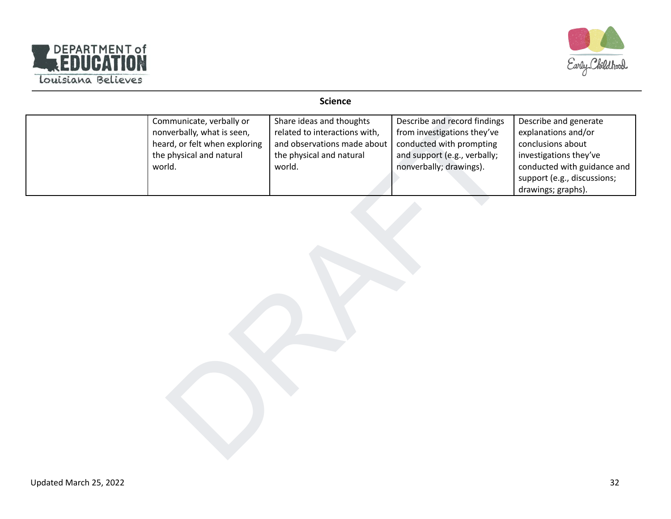



#### **Science**

| Communicate, verbally or<br>nonverbally, what is seen,<br>heard, or felt when exploring<br>the physical and natural<br>world. | Share ideas and thoughts<br>related to interactions with,<br>and observations made about<br>the physical and natural<br>world. | Describe and record findings<br>from investigations they've<br>conducted with prompting<br>and support (e.g., verbally;<br>nonverbally; drawings). | Describe and generate<br>explanations and/or<br>conclusions about<br>investigations they've<br>conducted with guidance and<br>support (e.g., discussions;<br>drawings; graphs). |
|-------------------------------------------------------------------------------------------------------------------------------|--------------------------------------------------------------------------------------------------------------------------------|----------------------------------------------------------------------------------------------------------------------------------------------------|---------------------------------------------------------------------------------------------------------------------------------------------------------------------------------|
|                                                                                                                               |                                                                                                                                |                                                                                                                                                    |                                                                                                                                                                                 |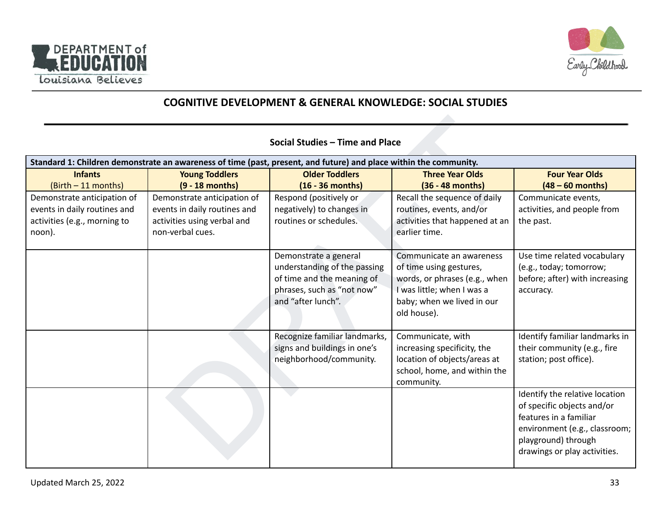



# **COGNITIVE DEVELOPMENT & GENERAL KNOWLEDGE: SOCIAL STUDIES**

#### Social Studies – Time and Place<br>
Notar Totalers (past, present, and future) and place within the community,<br>
The Versical Cost Totalers<br>
(S-18 months)<br>
(S-18 months) (G-18 months)<br>
(S-18 months) (Cost Totalers in divides)<br> Standard 1: Children demonstrate an awareness of time (past, present, and future) and place within the community. **Infants** (Birth – 11 months) **Young Toddlers (9 - 18 months) Older Toddlers (16 - 36 months) Three Year Olds (36 - 48 months) Four Year Olds (48 – 60 months)** Demonstrate anticipation of events in daily routines and activities (e.g., morning to noon). Demonstrate anticipation of events in daily routines and activities using verbal and non-verbal cues. Respond (positively or negatively) to changes in routines or schedules. Recall the sequence of daily routines, events, and/or activities that happened at an earlier time. Communicate events, activities, and people from the past. Demonstrate a general understanding of the passing of time and the meaning of phrases, such as "not now" and "after lunch". Communicate an awareness of time using gestures, words, or phrases (e.g., when I was little; when I was a baby; when we lived in our old house). Use time related vocabulary (e.g., today; tomorrow; before; after) with increasing accuracy. Recognize familiar landmarks, signs and buildings in one's neighborhood/community. Communicate, with increasing specificity, the location of objects/areas at school, home, and within the community. Identify familiar landmarks in their community (e.g., fire station; post office). Identify the relative location of specific objects and/or features in a familiar environment (e.g., classroom; playground) through drawings or play activities.

#### **Social Studies – Time and Place**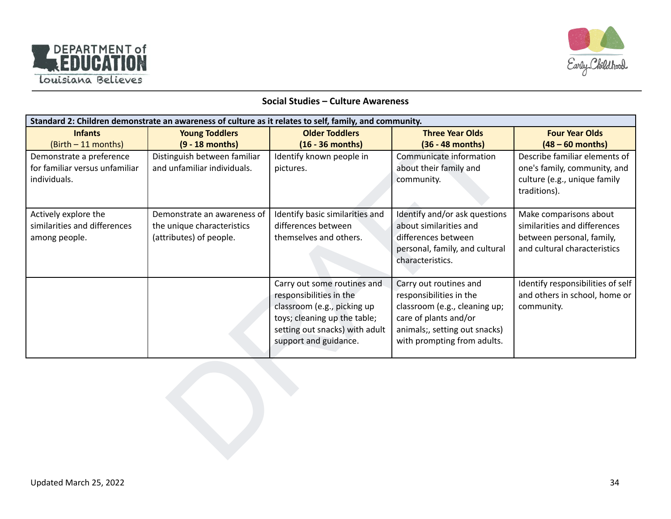



#### **Social Studies – Culture Awareness**

|                                | Standard 2: Children demonstrate an awareness of culture as it relates to self, family, and community. |                                                        |                                                          |                                             |  |  |
|--------------------------------|--------------------------------------------------------------------------------------------------------|--------------------------------------------------------|----------------------------------------------------------|---------------------------------------------|--|--|
| <b>Infants</b>                 | <b>Young Toddlers</b>                                                                                  | <b>Older Toddlers</b>                                  | <b>Three Year Olds</b>                                   | <b>Four Year Olds</b>                       |  |  |
| (Birth - 11 months)            | $(9 - 18$ months)                                                                                      | $(16 - 36$ months)                                     | (36 - 48 months)                                         | $(48 - 60$ months)                          |  |  |
| Demonstrate a preference       | Distinguish between familiar                                                                           | Identify known people in                               | Communicate information                                  | Describe familiar elements of               |  |  |
| for familiar versus unfamiliar | and unfamiliar individuals.                                                                            | pictures.                                              | about their family and                                   | one's family, community, and                |  |  |
| individuals.                   |                                                                                                        |                                                        | community.                                               | culture (e.g., unique family                |  |  |
|                                |                                                                                                        |                                                        |                                                          | traditions).                                |  |  |
| Actively explore the           | Demonstrate an awareness of                                                                            | Identify basic similarities and                        | Identify and/or ask questions                            | Make comparisons about                      |  |  |
| similarities and differences   | the unique characteristics                                                                             | differences between                                    | about similarities and                                   | similarities and differences                |  |  |
| among people.                  | (attributes) of people.                                                                                | themselves and others.                                 | differences between                                      | between personal, family,                   |  |  |
|                                |                                                                                                        |                                                        | personal, family, and cultural                           | and cultural characteristics                |  |  |
|                                |                                                                                                        |                                                        | characteristics.                                         |                                             |  |  |
|                                |                                                                                                        |                                                        |                                                          |                                             |  |  |
|                                |                                                                                                        | Carry out some routines and                            | Carry out routines and                                   | Identify responsibilities of self           |  |  |
|                                |                                                                                                        | responsibilities in the<br>classroom (e.g., picking up | responsibilities in the<br>classroom (e.g., cleaning up; | and others in school, home or<br>community. |  |  |
|                                |                                                                                                        | toys; cleaning up the table;                           | care of plants and/or                                    |                                             |  |  |
|                                |                                                                                                        | setting out snacks) with adult                         | animals;, setting out snacks)                            |                                             |  |  |
|                                |                                                                                                        | support and guidance.                                  | with prompting from adults.                              |                                             |  |  |
|                                |                                                                                                        |                                                        |                                                          |                                             |  |  |
|                                |                                                                                                        |                                                        |                                                          |                                             |  |  |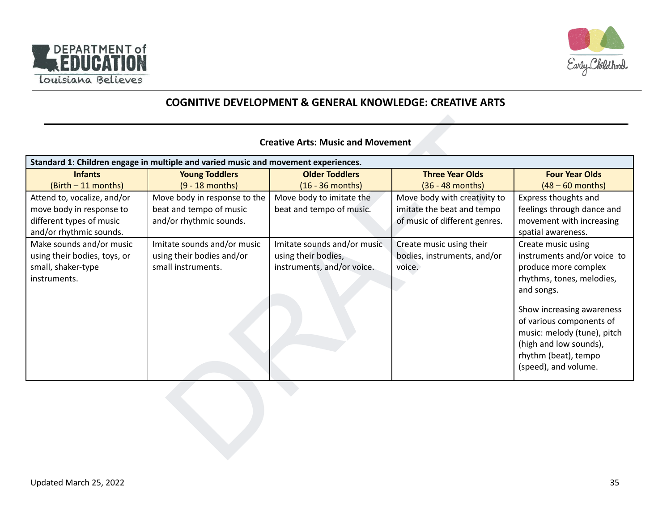



# **COGNITIVE DEVELOPMENT & GENERAL KNOWLEDGE: CREATIVE ARTS**

#### **Creative Arts: Music and Movement**

| <b>Creative Arts: Music and Movement</b>                                                                       |                                                                                    |                                                                                  |                                                                                             |                                                                                                                                                                                                                                                                                        |
|----------------------------------------------------------------------------------------------------------------|------------------------------------------------------------------------------------|----------------------------------------------------------------------------------|---------------------------------------------------------------------------------------------|----------------------------------------------------------------------------------------------------------------------------------------------------------------------------------------------------------------------------------------------------------------------------------------|
|                                                                                                                | Standard 1: Children engage in multiple and varied music and movement experiences. |                                                                                  |                                                                                             |                                                                                                                                                                                                                                                                                        |
| <b>Infants</b>                                                                                                 | <b>Young Toddlers</b>                                                              | <b>Older Toddlers</b>                                                            | <b>Three Year Olds</b>                                                                      | <b>Four Year Olds</b>                                                                                                                                                                                                                                                                  |
| (Birth - 11 months)                                                                                            | $(9 - 18$ months)                                                                  | $(16 - 36$ months)                                                               | (36 - 48 months)                                                                            | $(48 - 60$ months)                                                                                                                                                                                                                                                                     |
| Attend to, vocalize, and/or<br>move body in response to<br>different types of music<br>and/or rhythmic sounds. | Move body in response to the<br>beat and tempo of music<br>and/or rhythmic sounds. | Move body to imitate the<br>beat and tempo of music.                             | Move body with creativity to<br>imitate the beat and tempo<br>of music of different genres. | Express thoughts and<br>feelings through dance and<br>movement with increasing<br>spatial awareness.                                                                                                                                                                                   |
| Make sounds and/or music<br>using their bodies, toys, or<br>small, shaker-type<br>instruments.                 | Imitate sounds and/or music<br>using their bodies and/or<br>small instruments.     | Imitate sounds and/or music<br>using their bodies,<br>instruments, and/or voice. | Create music using their<br>bodies, instruments, and/or<br>voice.                           | Create music using<br>instruments and/or voice to<br>produce more complex<br>rhythms, tones, melodies,<br>and songs.<br>Show increasing awareness<br>of various components of<br>music: melody (tune), pitch<br>(high and low sounds),<br>rhythm (beat), tempo<br>(speed), and volume. |
|                                                                                                                |                                                                                    |                                                                                  |                                                                                             |                                                                                                                                                                                                                                                                                        |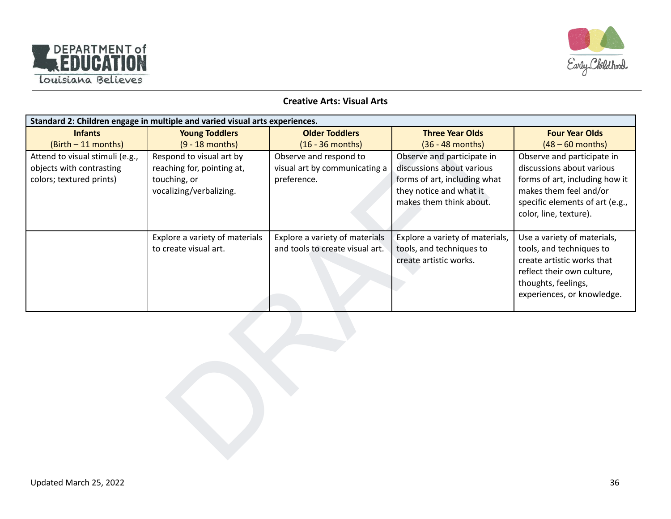



#### **Creative Arts: Visual Arts**

| Standard 2: Children engage in multiple and varied visual arts experiences. |                                |                                 |                                 |                                 |  |
|-----------------------------------------------------------------------------|--------------------------------|---------------------------------|---------------------------------|---------------------------------|--|
| <b>Infants</b>                                                              | <b>Young Toddlers</b>          | <b>Older Toddlers</b>           | <b>Three Year Olds</b>          | <b>Four Year Olds</b>           |  |
| (Birth - 11 months)                                                         | $(9 - 18$ months)              | $(16 - 36$ months)              | (36 - 48 months)                | $(48 - 60$ months)              |  |
| Attend to visual stimuli (e.g.,                                             | Respond to visual art by       | Observe and respond to          | Observe and participate in      | Observe and participate in      |  |
| objects with contrasting                                                    | reaching for, pointing at,     | visual art by communicating a   | discussions about various       | discussions about various       |  |
| colors; textured prints)                                                    | touching, or                   | preference.                     | forms of art, including what    | forms of art, including how it  |  |
|                                                                             | vocalizing/verbalizing.        |                                 | they notice and what it         | makes them feel and/or          |  |
|                                                                             |                                |                                 | makes them think about.         | specific elements of art (e.g., |  |
|                                                                             |                                |                                 |                                 | color, line, texture).          |  |
|                                                                             | Explore a variety of materials | Explore a variety of materials  | Explore a variety of materials, | Use a variety of materials,     |  |
|                                                                             | to create visual art.          | and tools to create visual art. | tools, and techniques to        | tools, and techniques to        |  |
|                                                                             |                                |                                 | create artistic works.          | create artistic works that      |  |
|                                                                             |                                |                                 |                                 | reflect their own culture,      |  |
|                                                                             |                                |                                 |                                 | thoughts, feelings,             |  |
|                                                                             |                                |                                 |                                 | experiences, or knowledge.      |  |
|                                                                             |                                |                                 |                                 |                                 |  |
|                                                                             |                                |                                 |                                 |                                 |  |
|                                                                             |                                |                                 |                                 |                                 |  |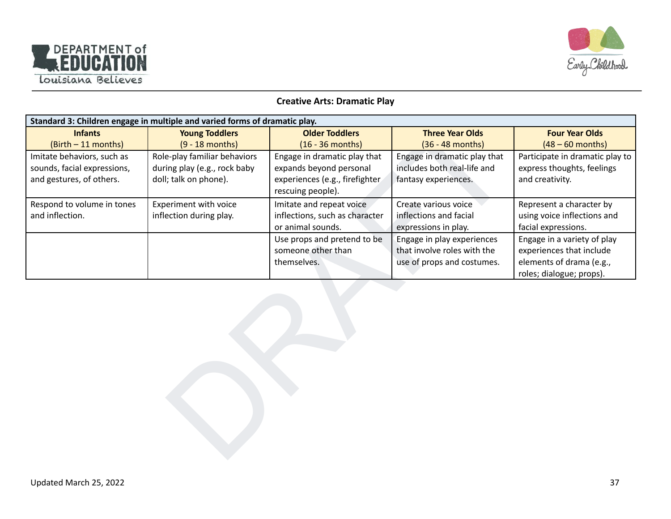



#### **Creative Arts: Dramatic Play**

| Standard 3: Children engage in multiple and varied forms of dramatic play. |                              |                                |                              |                                 |  |
|----------------------------------------------------------------------------|------------------------------|--------------------------------|------------------------------|---------------------------------|--|
| <b>Infants</b>                                                             | <b>Young Toddlers</b>        | <b>Older Toddlers</b>          | <b>Three Year Olds</b>       | <b>Four Year Olds</b>           |  |
| (Birth - 11 months)                                                        | $(9 - 18$ months)            | $(16 - 36$ months)             | (36 - 48 months)             | $(48 - 60$ months)              |  |
| Imitate behaviors, such as                                                 | Role-play familiar behaviors | Engage in dramatic play that   | Engage in dramatic play that | Participate in dramatic play to |  |
| sounds, facial expressions,                                                | during play (e.g., rock baby | expands beyond personal        | includes both real-life and  | express thoughts, feelings      |  |
| and gestures, of others.                                                   | doll; talk on phone).        | experiences (e.g., firefighter | fantasy experiences.         | and creativity.                 |  |
|                                                                            |                              | rescuing people).              |                              |                                 |  |
| Respond to volume in tones                                                 | Experiment with voice        | Imitate and repeat voice       | Create various voice         | Represent a character by        |  |
| and inflection.                                                            | inflection during play.      | inflections, such as character | inflections and facial       | using voice inflections and     |  |
|                                                                            |                              | or animal sounds.              | expressions in play.         | facial expressions.             |  |
|                                                                            |                              | Use props and pretend to be    | Engage in play experiences   | Engage in a variety of play     |  |
|                                                                            |                              | someone other than             | that involve roles with the  | experiences that include        |  |
|                                                                            |                              | themselves.                    | use of props and costumes.   | elements of drama (e.g.,        |  |
|                                                                            |                              |                                |                              | roles; dialogue; props).        |  |
|                                                                            |                              |                                |                              |                                 |  |
|                                                                            |                              |                                |                              |                                 |  |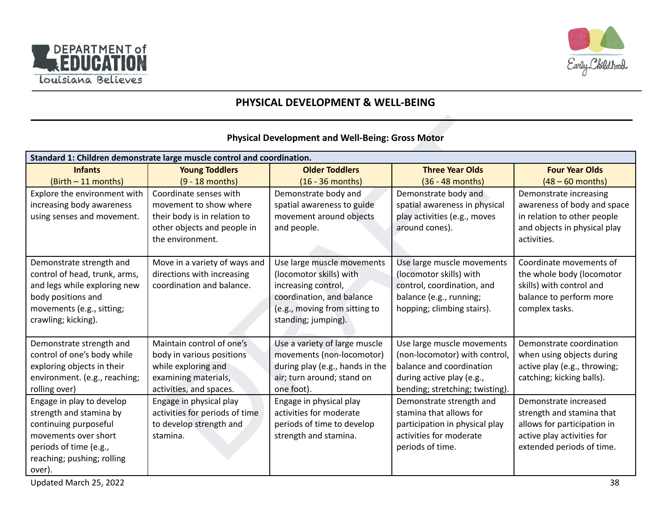



# **PHYSICAL DEVELOPMENT & WELL-BEING**

#### **Physical Development and Well-Being: Gross Motor**

| Standard 1: Children demonstrate large muscle control and coordination. |                                |                                 |                                 |                              |  |  |  |
|-------------------------------------------------------------------------|--------------------------------|---------------------------------|---------------------------------|------------------------------|--|--|--|
| <b>Infants</b>                                                          | <b>Young Toddlers</b>          | <b>Older Toddlers</b>           | <b>Three Year Olds</b>          | <b>Four Year Olds</b>        |  |  |  |
| (Birth - 11 months)                                                     | $(9 - 18$ months)              | $(16 - 36$ months)              | (36 - 48 months)                | $(48 - 60$ months)           |  |  |  |
| Explore the environment with                                            | Coordinate senses with         | Demonstrate body and            | Demonstrate body and            | Demonstrate increasing       |  |  |  |
| increasing body awareness                                               | movement to show where         | spatial awareness to guide      | spatial awareness in physical   | awareness of body and space  |  |  |  |
| using senses and movement.                                              | their body is in relation to   | movement around objects         | play activities (e.g., moves    | in relation to other people  |  |  |  |
|                                                                         | other objects and people in    | and people.                     | around cones).                  | and objects in physical play |  |  |  |
|                                                                         | the environment.               |                                 |                                 | activities.                  |  |  |  |
|                                                                         |                                |                                 |                                 |                              |  |  |  |
| Demonstrate strength and                                                | Move in a variety of ways and  | Use large muscle movements      | Use large muscle movements      | Coordinate movements of      |  |  |  |
| control of head, trunk, arms,                                           | directions with increasing     | (locomotor skills) with         | (locomotor skills) with         | the whole body (locomotor    |  |  |  |
| and legs while exploring new                                            | coordination and balance.      | increasing control,             | control, coordination, and      | skills) with control and     |  |  |  |
| body positions and                                                      |                                | coordination, and balance       | balance (e.g., running;         | balance to perform more      |  |  |  |
| movements (e.g., sitting;                                               |                                | (e.g., moving from sitting to   | hopping; climbing stairs).      | complex tasks.               |  |  |  |
| crawling; kicking).                                                     |                                | standing; jumping).             |                                 |                              |  |  |  |
| Demonstrate strength and                                                | Maintain control of one's      | Use a variety of large muscle   | Use large muscle movements      | Demonstrate coordination     |  |  |  |
| control of one's body while                                             | body in various positions      | movements (non-locomotor)       | (non-locomotor) with control,   | when using objects during    |  |  |  |
| exploring objects in their                                              | while exploring and            | during play (e.g., hands in the | balance and coordination        | active play (e.g., throwing; |  |  |  |
| environment. (e.g., reaching;                                           | examining materials,           | air; turn around; stand on      | during active play (e.g.,       | catching; kicking balls).    |  |  |  |
| rolling over)                                                           | activities, and spaces.        | one foot).                      | bending; stretching; twisting). |                              |  |  |  |
| Engage in play to develop                                               | Engage in physical play        | Engage in physical play         | Demonstrate strength and        | Demonstrate increased        |  |  |  |
| strength and stamina by                                                 | activities for periods of time | activities for moderate         | stamina that allows for         | strength and stamina that    |  |  |  |
| continuing purposeful                                                   | to develop strength and        | periods of time to develop      | participation in physical play  | allows for participation in  |  |  |  |
| movements over short                                                    | stamina.                       | strength and stamina.           | activities for moderate         | active play activities for   |  |  |  |
| periods of time (e.g.,                                                  |                                |                                 | periods of time.                | extended periods of time.    |  |  |  |
| reaching; pushing; rolling                                              |                                |                                 |                                 |                              |  |  |  |
| over).                                                                  |                                |                                 |                                 |                              |  |  |  |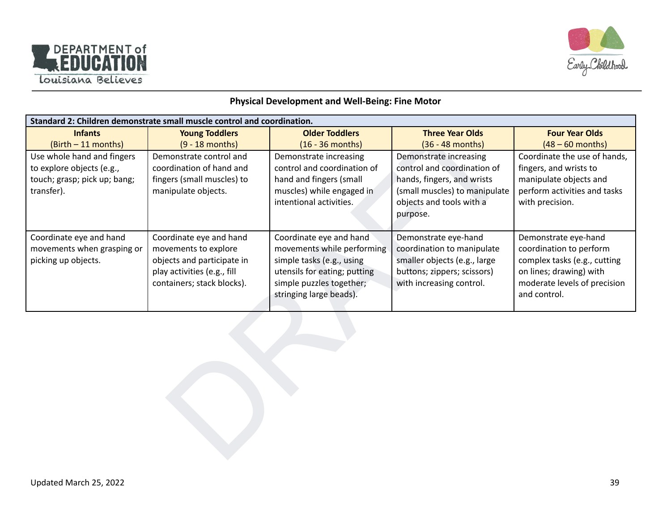



#### **Physical Development and Well-Being: Fine Motor**

| Standard 2: Children demonstrate small muscle control and coordination.                               |                                                                                                                                            |                                                                                                                                                                           |                                                                                                                                                              |                                                                                                                                                            |  |  |  |  |
|-------------------------------------------------------------------------------------------------------|--------------------------------------------------------------------------------------------------------------------------------------------|---------------------------------------------------------------------------------------------------------------------------------------------------------------------------|--------------------------------------------------------------------------------------------------------------------------------------------------------------|------------------------------------------------------------------------------------------------------------------------------------------------------------|--|--|--|--|
| <b>Infants</b>                                                                                        | <b>Young Toddlers</b>                                                                                                                      | <b>Older Toddlers</b>                                                                                                                                                     | <b>Three Year Olds</b>                                                                                                                                       | <b>Four Year Olds</b>                                                                                                                                      |  |  |  |  |
| (Birth - 11 months)                                                                                   | $(9 - 18$ months)                                                                                                                          | $(16 - 36$ months)                                                                                                                                                        | (36 - 48 months)                                                                                                                                             | $(48 - 60$ months)                                                                                                                                         |  |  |  |  |
| Use whole hand and fingers<br>to explore objects (e.g.,<br>touch; grasp; pick up; bang;<br>transfer). | Demonstrate control and<br>coordination of hand and<br>fingers (small muscles) to<br>manipulate objects.                                   | Demonstrate increasing<br>control and coordination of<br>hand and fingers (small<br>muscles) while engaged in<br>intentional activities.                                  | Demonstrate increasing<br>control and coordination of<br>hands, fingers, and wrists<br>(small muscles) to manipulate<br>objects and tools with a<br>purpose. | Coordinate the use of hands,<br>fingers, and wrists to<br>manipulate objects and<br>perform activities and tasks<br>with precision.                        |  |  |  |  |
| Coordinate eye and hand<br>movements when grasping or<br>picking up objects.                          | Coordinate eye and hand<br>movements to explore<br>objects and participate in<br>play activities (e.g., fill<br>containers; stack blocks). | Coordinate eye and hand<br>movements while performing<br>simple tasks (e.g., using<br>utensils for eating; putting<br>simple puzzles together;<br>stringing large beads). | Demonstrate eye-hand<br>coordination to manipulate<br>smaller objects (e.g., large<br>buttons; zippers; scissors)<br>with increasing control.                | Demonstrate eye-hand<br>coordination to perform<br>complex tasks (e.g., cutting<br>on lines; drawing) with<br>moderate levels of precision<br>and control. |  |  |  |  |
|                                                                                                       |                                                                                                                                            |                                                                                                                                                                           |                                                                                                                                                              |                                                                                                                                                            |  |  |  |  |